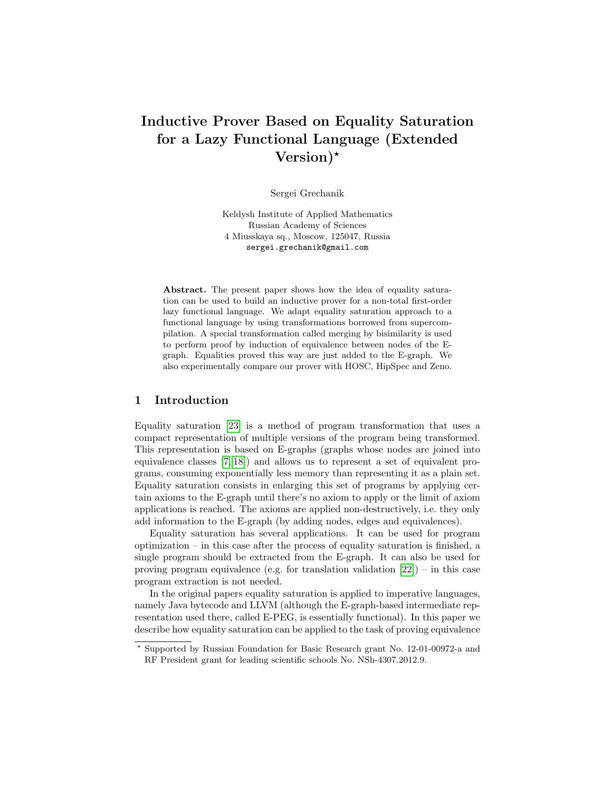# Inductive Prover Based on Equality Saturation for a Lazy Functional Language (Extended Version)<sup>\*</sup>

Sergei Grechanik

Keldysh Institute of Applied Mathematics Russian Academy of Sciences 4 Miusskaya sq., Moscow, 125047, Russia sergei.grechanik@gmail.com

Abstract. The present paper shows how the idea of equality saturation can be used to build an inductive prover for a non-total first-order lazy functional language. We adapt equality saturation approach to a functional language by using transformations borrowed from supercompilation. A special transformation called merging by bisimilarity is used to perform proof by induction of equivalence between nodes of the Egraph. Equalities proved this way are just added to the E-graph. We also experimentally compare our prover with HOSC, HipSpec and Zeno.

# 1 Introduction

Equality saturation [\[23\]](#page-27-0) is a method of program transformation that uses a compact representation of multiple versions of the program being transformed. This representation is based on E-graphs (graphs whose nodes are joined into equivalence classes [\[7,](#page-26-0) [18\]](#page-26-1)) and allows us to represent a set of equivalent programs, consuming exponentially less memory than representing it as a plain set. Equality saturation consists in enlarging this set of programs by applying certain axioms to the E-graph until there's no axiom to apply or the limit of axiom applications is reached. The axioms are applied non-destructively, i.e. they only add information to the E-graph (by adding nodes, edges and equivalences).

Equality saturation has several applications. It can be used for program optimization – in this case after the process of equality saturation is finished, a single program should be extracted from the E-graph. It can also be used for proving program equivalence (e.g. for translation validation  $[22]$ ) – in this case program extraction is not needed.

In the original papers equality saturation is applied to imperative languages, namely Java bytecode and LLVM (although the E-graph-based intermediate representation used there, called E-PEG, is essentially functional). In this paper we describe how equality saturation can be applied to the task of proving equivalence

RF President grant for leading scientific schools No. NSh-4307.2012.9.

<sup>⋆</sup> Supported by Russian Foundation for Basic Research grant No. 12-01-00972-a and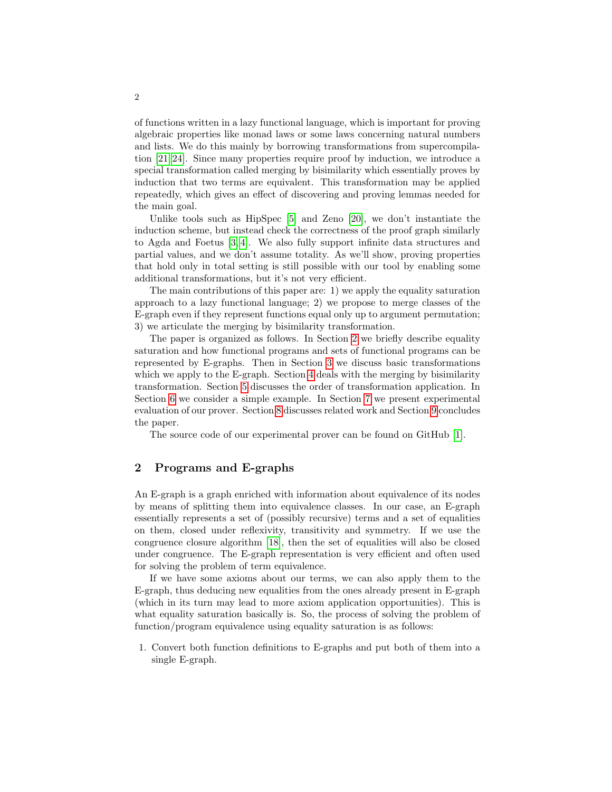of functions written in a lazy functional language, which is important for proving algebraic properties like monad laws or some laws concerning natural numbers and lists. We do this mainly by borrowing transformations from supercompilation [\[21,](#page-26-3) [24\]](#page-27-1). Since many properties require proof by induction, we introduce a special transformation called merging by bisimilarity which essentially proves by induction that two terms are equivalent. This transformation may be applied repeatedly, which gives an effect of discovering and proving lemmas needed for the main goal.

Unlike tools such as HipSpec [\[5\]](#page-25-0) and Zeno [\[20\]](#page-26-4), we don't instantiate the induction scheme, but instead check the correctness of the proof graph similarly to Agda and Foetus [\[3,](#page-25-1) [4\]](#page-25-2). We also fully support infinite data structures and partial values, and we don't assume totality. As we'll show, proving properties that hold only in total setting is still possible with our tool by enabling some additional transformations, but it's not very efficient.

The main contributions of this paper are: 1) we apply the equality saturation approach to a lazy functional language; 2) we propose to merge classes of the E-graph even if they represent functions equal only up to argument permutation; 3) we articulate the merging by bisimilarity transformation.

The paper is organized as follows. In Section [2](#page-1-0) we briefly describe equality saturation and how functional programs and sets of functional programs can be represented by E-graphs. Then in Section [3](#page-6-0) we discuss basic transformations which we apply to the E-graph. Section [4](#page-11-0) deals with the merging by bisimilarity transformation. Section [5](#page-14-0) discusses the order of transformation application. In Section [6](#page-15-0) we consider a simple example. In Section [7](#page-18-0) we present experimental evaluation of our prover. Section [8](#page-22-0) discusses related work and Section [9](#page-24-0) concludes the paper.

The source code of our experimental prover can be found on GitHub [\[1\]](#page-25-3).

# <span id="page-1-0"></span>2 Programs and E-graphs

An E-graph is a graph enriched with information about equivalence of its nodes by means of splitting them into equivalence classes. In our case, an E-graph essentially represents a set of (possibly recursive) terms and a set of equalities on them, closed under reflexivity, transitivity and symmetry. If we use the congruence closure algorithm [\[18\]](#page-26-1), then the set of equalities will also be closed under congruence. The E-graph representation is very efficient and often used for solving the problem of term equivalence.

If we have some axioms about our terms, we can also apply them to the E-graph, thus deducing new equalities from the ones already present in E-graph (which in its turn may lead to more axiom application opportunities). This is what equality saturation basically is. So, the process of solving the problem of function/program equivalence using equality saturation is as follows:

1. Convert both function definitions to E-graphs and put both of them into a single E-graph.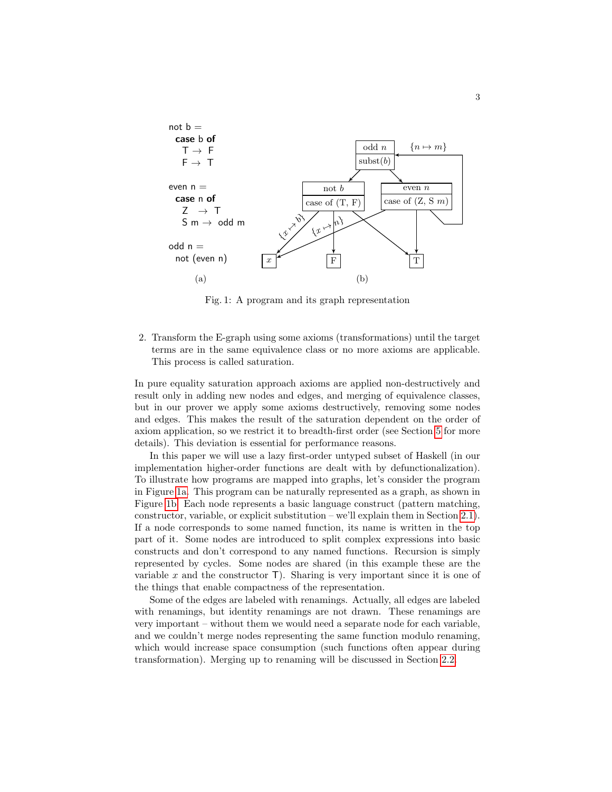<span id="page-2-0"></span>

Fig. 1: A program and its graph representation

2. Transform the E-graph using some axioms (transformations) until the target terms are in the same equivalence class or no more axioms are applicable. This process is called saturation.

In pure equality saturation approach axioms are applied non-destructively and result only in adding new nodes and edges, and merging of equivalence classes, but in our prover we apply some axioms destructively, removing some nodes and edges. This makes the result of the saturation dependent on the order of axiom application, so we restrict it to breadth-first order (see Section [5](#page-14-0) for more details). This deviation is essential for performance reasons.

In this paper we will use a lazy first-order untyped subset of Haskell (in our implementation higher-order functions are dealt with by defunctionalization). To illustrate how programs are mapped into graphs, let's consider the program in Figure [1a.](#page-2-0) This program can be naturally represented as a graph, as shown in Figure [1b.](#page-2-0) Each node represents a basic language construct (pattern matching, constructor, variable, or explicit substitution – we'll explain them in Section [2.1\)](#page-4-0). If a node corresponds to some named function, its name is written in the top part of it. Some nodes are introduced to split complex expressions into basic constructs and don't correspond to any named functions. Recursion is simply represented by cycles. Some nodes are shared (in this example these are the variable  $x$  and the constructor  $\mathsf{T}$ ). Sharing is very important since it is one of the things that enable compactness of the representation.

Some of the edges are labeled with renamings. Actually, all edges are labeled with renamings, but identity renamings are not drawn. These renamings are very important – without them we would need a separate node for each variable, and we couldn't merge nodes representing the same function modulo renaming, which would increase space consumption (such functions often appear during transformation). Merging up to renaming will be discussed in Section [2.2.](#page-5-0)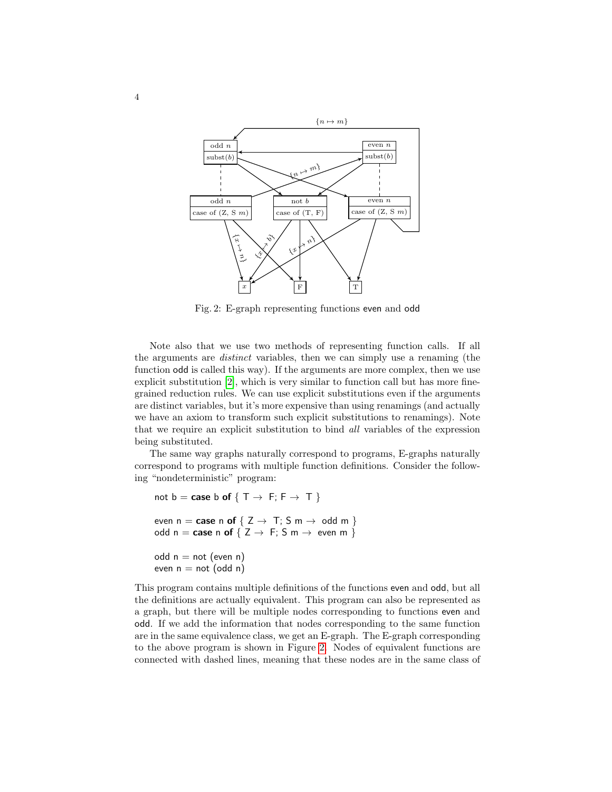<span id="page-3-0"></span>

Fig. 2: E-graph representing functions even and odd

Note also that we use two methods of representing function calls. If all the arguments are distinct variables, then we can simply use a renaming (the function odd is called this way). If the arguments are more complex, then we use explicit substitution [\[2\]](#page-25-4), which is very similar to function call but has more finegrained reduction rules. We can use explicit substitutions even if the arguments are distinct variables, but it's more expensive than using renamings (and actually we have an axiom to transform such explicit substitutions to renamings). Note that we require an explicit substitution to bind all variables of the expression being substituted.

The same way graphs naturally correspond to programs, E-graphs naturally correspond to programs with multiple function definitions. Consider the following "nondeterministic" program:

```
not b = \text{case } b \text{ of } \{ T \rightarrow F; F \rightarrow T \}even n = \text{case} \text{ n of } \{ Z \rightarrow T : S \text{ m} \rightarrow \text{ odd m } \}odd n = \text{case} \text{ n of } \{ Z \rightarrow F : S \text{ m} \rightarrow \text{even} \text{ m } \}odd n = not (even n)
even n = not (odd n)
```
This program contains multiple definitions of the functions even and odd, but all the definitions are actually equivalent. This program can also be represented as a graph, but there will be multiple nodes corresponding to functions even and odd. If we add the information that nodes corresponding to the same function are in the same equivalence class, we get an E-graph. The E-graph corresponding to the above program is shown in Figure [2.](#page-3-0) Nodes of equivalent functions are connected with dashed lines, meaning that these nodes are in the same class of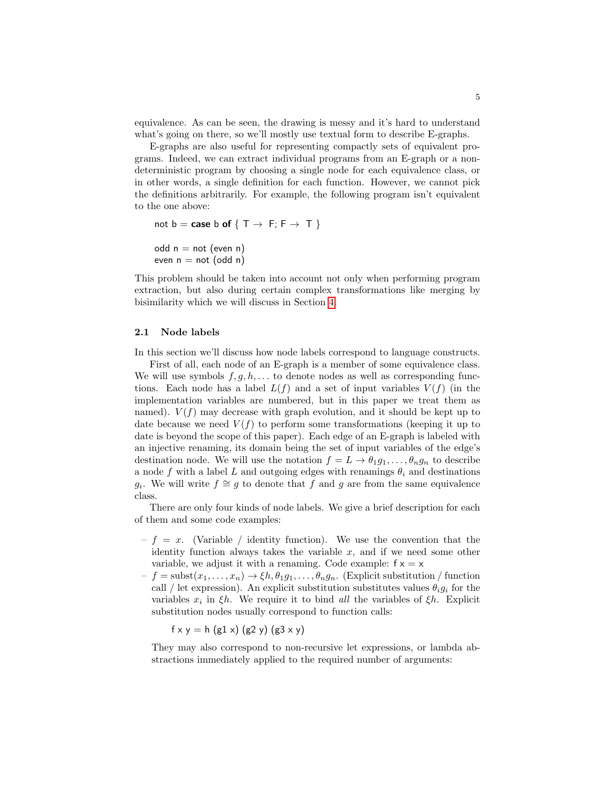equivalence. As can be seen, the drawing is messy and it's hard to understand what's going on there, so we'll mostly use textual form to describe E-graphs.

E-graphs are also useful for representing compactly sets of equivalent programs. Indeed, we can extract individual programs from an E-graph or a nondeterministic program by choosing a single node for each equivalence class, or in other words, a single definition for each function. However, we cannot pick the definitions arbitrarily. For example, the following program isn't equivalent to the one above:

```
not b = \text{case } b \text{ of } \{ T \rightarrow F; F \rightarrow T \}odd n = not (even n)
even n = not (odd n)
```
This problem should be taken into account not only when performing program extraction, but also during certain complex transformations like merging by bisimilarity which we will discuss in Section [4.](#page-11-0)

#### <span id="page-4-0"></span>2.1 Node labels

In this section we'll discuss how node labels correspond to language constructs.

First of all, each node of an E-graph is a member of some equivalence class. We will use symbols  $f, g, h, \ldots$  to denote nodes as well as corresponding functions. Each node has a label  $L(f)$  and a set of input variables  $V(f)$  (in the implementation variables are numbered, but in this paper we treat them as named).  $V(f)$  may decrease with graph evolution, and it should be kept up to date because we need  $V(f)$  to perform some transformations (keeping it up to date is beyond the scope of this paper). Each edge of an E-graph is labeled with an injective renaming, its domain being the set of input variables of the edge's destination node. We will use the notation  $f = L \rightarrow \theta_1 g_1, \ldots, \theta_n g_n$  to describe a node f with a label L and outgoing edges with renamings  $\theta_i$  and destinations  $g_i$ . We will write  $f \cong g$  to denote that  $\tilde{f}$  and  $g$  are from the same equivalence class.

There are only four kinds of node labels. We give a brief description for each of them and some code examples:

- $f = x$ . (Variable / identity function). We use the convention that the identity function always takes the variable  $x$ , and if we need some other variable, we adjust it with a renaming. Code example:  $f \times = \times$
- $-f = \text{subst}(x_1, \ldots, x_n) \rightarrow \xi h, \theta_1 g_1, \ldots, \theta_n g_n$ . (Explicit substitution / function call / let expression). An explicit substitution substitutes values  $\theta_i g_i$  for the variables  $x_i$  in  $\xi h$ . We require it to bind all the variables of  $\xi h$ . Explicit substitution nodes usually correspond to function calls:

 $f \times y = h$  (g1 x) (g2 y) (g3 x y)

They may also correspond to non-recursive let expressions, or lambda abstractions immediately applied to the required number of arguments: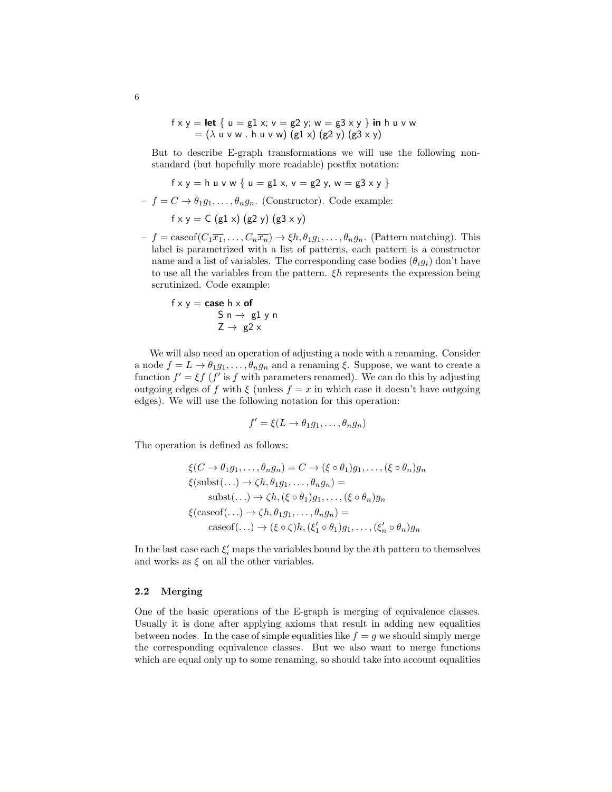$$
f \times y =
$$
**let** { u = g1 x; v = g2 y; w = g3 x y } **in** h u v w  
= (  $\lambda$  u v w . h u v w) (g1 x) (g2 y) (g3 x y)

But to describe E-graph transformations we will use the following nonstandard (but hopefully more readable) postfix notation:

$$
f \times y = h \cup v \cup \{ u = g1 \times, v = g2 \times, w = g3 \times y \}
$$

- 
$$
f = C \rightarrow \theta_1 g_1, \dots, \theta_n g_n
$$
. (Constructor). Code example:

$$
f \times y = C \left( g1 \times \right) \left( g2 \ y \right) \left( g3 \times y \right)
$$

 $-f = \text{caseof}(C_1\overline{x_1}, \ldots, C_n\overline{x_n}) \rightarrow \xi h, \theta_1 g_1, \ldots, \theta_n g_n$ . (Pattern matching). This label is parametrized with a list of patterns, each pattern is a constructor name and a list of variables. The corresponding case bodies  $(\theta_i g_i)$  don't have to use all the variables from the pattern.  $\xi h$  represents the expression being scrutinized. Code example:

$$
f \times y = \text{case } h \times \text{of}
$$
  
\n
$$
S n \rightarrow g1 y n
$$
  
\n
$$
Z \rightarrow g2 x
$$

We will also need an operation of adjusting a node with a renaming. Consider a node  $f = L \rightarrow \theta_1 g_1, \ldots, \theta_n g_n$  and a renaming  $\xi$ . Suppose, we want to create a function  $f' = \xi f$  (f' is f with parameters renamed). We can do this by adjusting outgoing edges of f with  $\xi$  (unless  $f = x$  in which case it doesn't have outgoing edges). We will use the following notation for this operation:

$$
f' = \xi(L \to \theta_1 g_1, \dots, \theta_n g_n)
$$

The operation is defined as follows:

$$
\xi(C \to \theta_1 g_1, \dots, \theta_n g_n) = C \to (\xi \circ \theta_1) g_1, \dots, (\xi \circ \theta_n) g_n
$$
  

$$
\xi(\text{subst}(\dots) \to \zeta h, \theta_1 g_1, \dots, \theta_n g_n) =
$$
  
subset(\dots) \to \zeta h, (\xi \circ \theta\_1) g\_1, \dots, (\xi \circ \theta\_n) g\_n  

$$
\xi(\text{caseof}(\dots) \to \zeta h, \theta_1 g_1, \dots, \theta_n g_n) =
$$
  
caseof(\dots) \to (\xi \circ \zeta) h, (\xi'\_1 \circ \theta\_1) g\_1, \dots, (\xi'\_n \circ \theta\_n) g\_n

In the last case each  $\xi'_i$  maps the variables bound by the *i*<sup>th</sup> pattern to themselves and works as  $\xi$  on all the other variables.

### <span id="page-5-0"></span>2.2 Merging

One of the basic operations of the E-graph is merging of equivalence classes. Usually it is done after applying axioms that result in adding new equalities between nodes. In the case of simple equalities like  $f = q$  we should simply merge the corresponding equivalence classes. But we also want to merge functions which are equal only up to some renaming, so should take into account equalities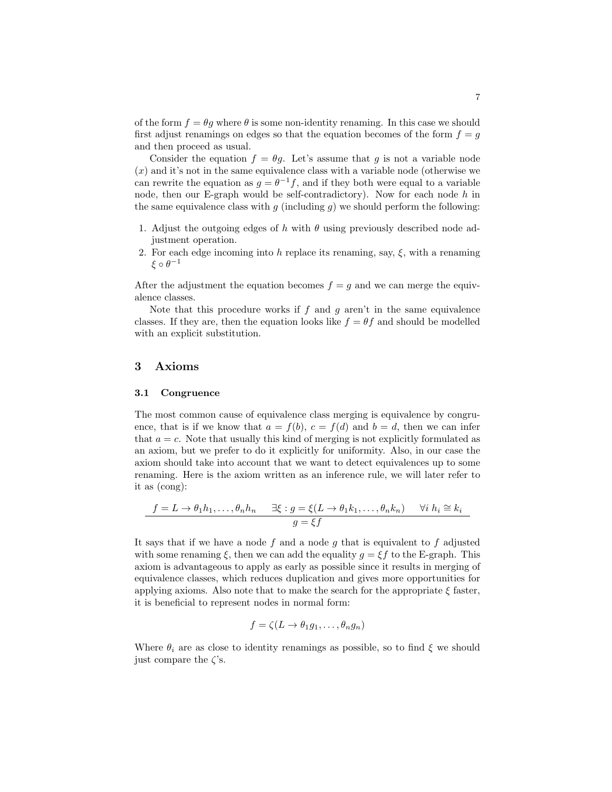of the form  $f = \theta g$  where  $\theta$  is some non-identity renaming. In this case we should first adjust renamings on edges so that the equation becomes of the form  $f = g$ and then proceed as usual.

Consider the equation  $f = \theta g$ . Let's assume that g is not a variable node  $(x)$  and it's not in the same equivalence class with a variable node (otherwise we can rewrite the equation as  $g = \theta^{-1} f$ , and if they both were equal to a variable node, then our E-graph would be self-contradictory). Now for each node  $h$  in the same equivalence class with  $g$  (including  $g$ ) we should perform the following:

- 1. Adjust the outgoing edges of h with  $\theta$  using previously described node adjustment operation.
- 2. For each edge incoming into h replace its renaming, say,  $\xi$ , with a renaming  $\xi \circ \theta^{-1}$

After the adjustment the equation becomes  $f = g$  and we can merge the equivalence classes.

Note that this procedure works if  $f$  and  $g$  aren't in the same equivalence classes. If they are, then the equation looks like  $f = \theta f$  and should be modelled with an explicit substitution.

### <span id="page-6-0"></span>3 Axioms

#### 3.1 Congruence

The most common cause of equivalence class merging is equivalence by congruence, that is if we know that  $a = f(b)$ ,  $c = f(d)$  and  $b = d$ , then we can infer that  $a = c$ . Note that usually this kind of merging is not explicitly formulated as an axiom, but we prefer to do it explicitly for uniformity. Also, in our case the axiom should take into account that we want to detect equivalences up to some renaming. Here is the axiom written as an inference rule, we will later refer to it as (cong):

$$
f = L \to \theta_1 h_1, \dots, \theta_n h_n \quad \exists \xi : g = \xi(L \to \theta_1 k_1, \dots, \theta_n k_n) \quad \forall i h_i \cong k_i
$$

$$
g = \xi f
$$

It says that if we have a node  $f$  and a node  $g$  that is equivalent to  $f$  adjusted with some renaming  $\xi$ , then we can add the equality  $g = \xi f$  to the E-graph. This axiom is advantageous to apply as early as possible since it results in merging of equivalence classes, which reduces duplication and gives more opportunities for applying axioms. Also note that to make the search for the appropriate  $\xi$  faster, it is beneficial to represent nodes in normal form:

$$
f = \zeta(L \to \theta_1 g_1, \dots, \theta_n g_n)
$$

Where  $\theta_i$  are as close to identity renamings as possible, so to find  $\xi$  we should just compare the  $\zeta$ 's.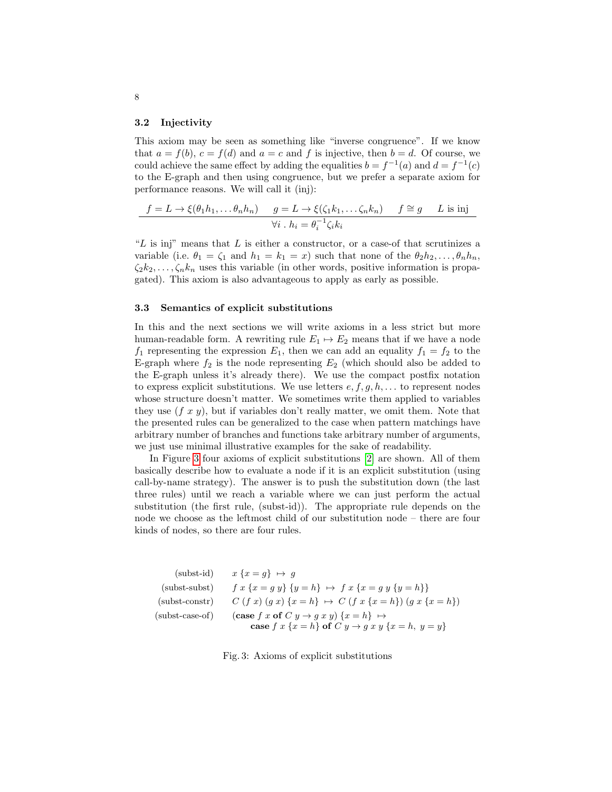#### 3.2 Injectivity

This axiom may be seen as something like "inverse congruence". If we know that  $a = f(b), c = f(d)$  and  $a = c$  and f is injective, then  $b = d$ . Of course, we could achieve the same effect by adding the equalities  $b = f^{-1}(a)$  and  $d = f^{-1}(c)$ to the E-graph and then using congruence, but we prefer a separate axiom for performance reasons. We will call it (inj):

$$
\frac{f = L \to \xi(\theta_1 h_1, \dots \theta_n h_n)}{f \to i} \quad \frac{g = L \to \xi(\zeta_1 k_1, \dots \zeta_n k_n)}{g = h^{-1} \zeta_i k_i} \quad f \cong g \quad L \text{ is inj}
$$

" $L$  is inj" means that  $L$  is either a constructor, or a case-of that scrutinizes a variable (i.e.  $\theta_1 = \zeta_1$  and  $h_1 = k_1 = x$ ) such that none of the  $\theta_2 h_2, \dots, \theta_n h_n$ ,  $\zeta_2 k_2, \ldots, \zeta_n k_n$  uses this variable (in other words, positive information is propagated). This axiom is also advantageous to apply as early as possible.

### 3.3 Semantics of explicit substitutions

In this and the next sections we will write axioms in a less strict but more human-readable form. A rewriting rule  $E_1 \mapsto E_2$  means that if we have a node  $f_1$  representing the expression  $E_1$ , then we can add an equality  $f_1 = f_2$  to the E-graph where  $f_2$  is the node representing  $E_2$  (which should also be added to the E-graph unless it's already there). We use the compact postfix notation to express explicit substitutions. We use letters  $e, f, g, h, \ldots$  to represent nodes whose structure doesn't matter. We sometimes write them applied to variables they use  $(f x y)$ , but if variables don't really matter, we omit them. Note that the presented rules can be generalized to the case when pattern matchings have arbitrary number of branches and functions take arbitrary number of arguments, we just use minimal illustrative examples for the sake of readability.

In Figure [3](#page-7-0) four axioms of explicit substitutions [\[2\]](#page-25-4) are shown. All of them basically describe how to evaluate a node if it is an explicit substitution (using call-by-name strategy). The answer is to push the substitution down (the last three rules) until we reach a variable where we can just perform the actual substitution (the first rule, (subst-id)). The appropriate rule depends on the node we choose as the leftmost child of our substitution node – there are four kinds of nodes, so there are four rules.

<span id="page-7-0"></span>

| (subst-id)        | $x\{x=g\}\mapsto q$                                                                                                      |
|-------------------|--------------------------------------------------------------------------------------------------------------------------|
| $(subst-subst)$   | $f x \{x = q y\} \{y = h\} \mapsto f x \{x = q y \{y = h\}\}\$                                                           |
| $(subst-constr)$  | $C(f x) (q x) \{x = h\} \mapsto C(f x \{x = h\}) (q x \{x = h\})$                                                        |
| $(subst-case-of)$ | $(\text{case } f \text{ } x \text{ } \text{of } C \text{ } y \rightarrow q \text{ } x \text{ } y) \{x = h\} \rightarrow$ |
|                   | case $f x \{x = h\}$ of $C y \rightarrow g x y \{x = h, y = y\}$                                                         |

Fig. 3: Axioms of explicit substitutions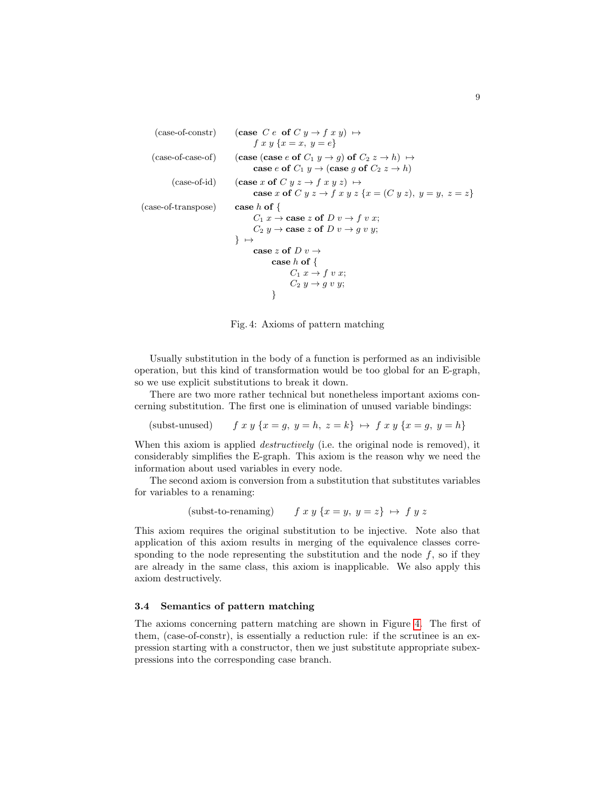```
(case-of-constr) (case C e of C y \rightarrow f x y) \mapstof x y \{x = x, y = e\}(case-of-case-of) (case (case e of C_1 y \rightarrow g) of C_2 z \rightarrow h) \mapstocase e of C_1 y \rightarrow (case g of C_2 z \rightarrow h)
         (case-of-id) (case x of C y z \rightarrow f x y z) \mapstocase x of C y z \rightarrow f x y z {x = (C y z), y = y, z = z}
(case-of-transpose) case h of {
                                  C_1 x \to \csc z of D v \to f v x;C_2 y \rightarrow \cose z of D v \rightarrow g v y;
                             } ↦→
                                   case z of D v \rightarrowcase h of \{C_1 x \rightarrow f v x;C_2 y \rightarrow g y y;
                                         }
```
Fig. 4: Axioms of pattern matching

Usually substitution in the body of a function is performed as an indivisible operation, but this kind of transformation would be too global for an E-graph, so we use explicit substitutions to break it down.

There are two more rather technical but nonetheless important axioms concerning substitution. The first one is elimination of unused variable bindings:

(subst-unused)  $f xy \{x = g, y = h, z = k\} \mapsto f xy \{x = g, y = h\}$ 

When this axiom is applied *destructively* (i.e. the original node is removed), it considerably simplifies the E-graph. This axiom is the reason why we need the information about used variables in every node.

The second axiom is conversion from a substitution that substitutes variables for variables to a renaming:

(subst-to-renaming)  $f x y \{x = y, y = z\} \mapsto f y z$ 

This axiom requires the original substitution to be injective. Note also that application of this axiom results in merging of the equivalence classes corresponding to the node representing the substitution and the node  $f$ , so if they are already in the same class, this axiom is inapplicable. We also apply this axiom destructively.

### 3.4 Semantics of pattern matching

The axioms concerning pattern matching are shown in Figure [4.](#page-8-0) The first of them, (case-of-constr), is essentially a reduction rule: if the scrutinee is an expression starting with a constructor, then we just substitute appropriate subexpressions into the corresponding case branch.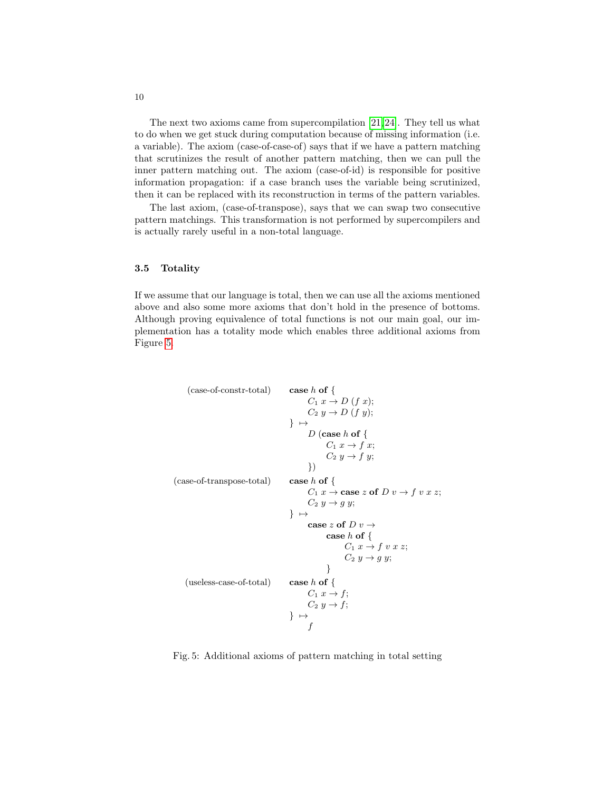The next two axioms came from supercompilation [\[21,](#page-26-3)[24\]](#page-27-1). They tell us what to do when we get stuck during computation because of missing information (i.e. a variable). The axiom (case-of-case-of) says that if we have a pattern matching that scrutinizes the result of another pattern matching, then we can pull the inner pattern matching out. The axiom (case-of-id) is responsible for positive information propagation: if a case branch uses the variable being scrutinized, then it can be replaced with its reconstruction in terms of the pattern variables.

The last axiom, (case-of-transpose), says that we can swap two consecutive pattern matchings. This transformation is not performed by supercompilers and is actually rarely useful in a non-total language.

### 3.5 Totality

If we assume that our language is total, then we can use all the axioms mentioned above and also some more axioms that don't hold in the presence of bottoms. Although proving equivalence of total functions is not our main goal, our implementation has a totality mode which enables three additional axioms from Figure [5.](#page-9-0)

```
(\text{case-of-constraint}) case h of {
                                           C_1 x \to D (f x);C_2 y \rightarrow D (f y);
                                     } ↦→
                                           D (case h of \{C_1 x \rightarrow f x;C_2 y \rightarrow f y;})
(case-of-transpose-total) case h of {
                                           C_1 x \rightarrow \csc z of D v \rightarrow f v x z;C_2 y \rightarrow g y;} ↦→
                                           case z of D v \rightarrowcase h of \{C_1 x \to f v x z;
                                                       C_2 y \rightarrow g y;
                                                 }
   (useless-case-of-total) case h of {
                                           C_1 x \rightarrow f;
                                           C_2 y \rightarrow f;
                                     } ↦→
                                            \boldsymbol{f}
```
Fig. 5: Additional axioms of pattern matching in total setting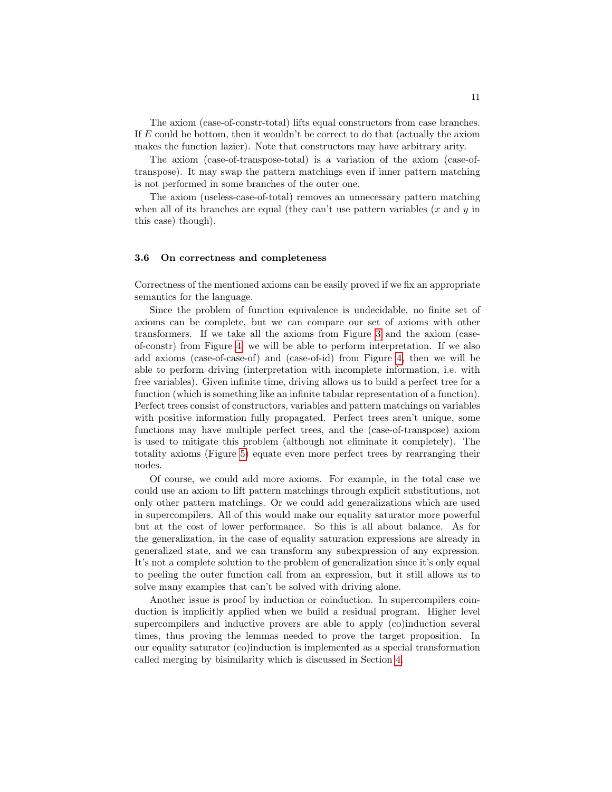The axiom (case-of-constr-total) lifts equal constructors from case branches. If  $E$  could be bottom, then it wouldn't be correct to do that (actually the axiom makes the function lazier). Note that constructors may have arbitrary arity.

The axiom (case-of-transpose-total) is a variation of the axiom (case-oftranspose). It may swap the pattern matchings even if inner pattern matching is not performed in some branches of the outer one.

The axiom (useless-case-of-total) removes an unnecessary pattern matching when all of its branches are equal (they can't use pattern variables  $(x \text{ and } y \text{ in})$ this case) though).

### 3.6 On correctness and completeness

Correctness of the mentioned axioms can be easily proved if we fix an appropriate semantics for the language.

Since the problem of function equivalence is undecidable, no finite set of axioms can be complete, but we can compare our set of axioms with other transformers. If we take all the axioms from Figure [3](#page-7-0) and the axiom (caseof-constr) from Figure [4,](#page-8-0) we will be able to perform interpretation. If we also add axioms (case-of-case-of) and (case-of-id) from Figure [4,](#page-8-0) then we will be able to perform driving (interpretation with incomplete information, i.e. with free variables). Given infinite time, driving allows us to build a perfect tree for a function (which is something like an infinite tabular representation of a function). Perfect trees consist of constructors, variables and pattern matchings on variables with positive information fully propagated. Perfect trees aren't unique, some functions may have multiple perfect trees, and the (case-of-transpose) axiom is used to mitigate this problem (although not eliminate it completely). The totality axioms (Figure [5\)](#page-9-0) equate even more perfect trees by rearranging their nodes.

Of course, we could add more axioms. For example, in the total case we could use an axiom to lift pattern matchings through explicit substitutions, not only other pattern matchings. Or we could add generalizations which are used in supercompilers. All of this would make our equality saturator more powerful but at the cost of lower performance. So this is all about balance. As for the generalization, in the case of equality saturation expressions are already in generalized state, and we can transform any subexpression of any expression. It's not a complete solution to the problem of generalization since it's only equal to peeling the outer function call from an expression, but it still allows us to solve many examples that can't be solved with driving alone.

Another issue is proof by induction or coinduction. In supercompilers coinduction is implicitly applied when we build a residual program. Higher level supercompilers and inductive provers are able to apply (co)induction several times, thus proving the lemmas needed to prove the target proposition. In our equality saturator (co)induction is implemented as a special transformation called merging by bisimilarity which is discussed in Section [4.](#page-11-0)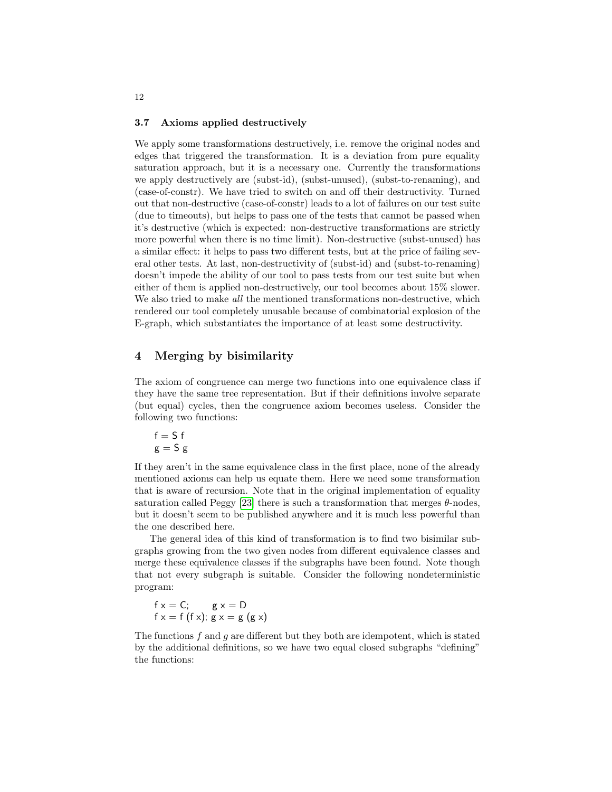#### 3.7 Axioms applied destructively

We apply some transformations destructively, i.e. remove the original nodes and edges that triggered the transformation. It is a deviation from pure equality saturation approach, but it is a necessary one. Currently the transformations we apply destructively are (subst-id), (subst-unused), (subst-to-renaming), and (case-of-constr). We have tried to switch on and off their destructivity. Turned out that non-destructive (case-of-constr) leads to a lot of failures on our test suite (due to timeouts), but helps to pass one of the tests that cannot be passed when it's destructive (which is expected: non-destructive transformations are strictly more powerful when there is no time limit). Non-destructive (subst-unused) has a similar effect: it helps to pass two different tests, but at the price of failing several other tests. At last, non-destructivity of (subst-id) and (subst-to-renaming) doesn't impede the ability of our tool to pass tests from our test suite but when either of them is applied non-destructively, our tool becomes about 15% slower. We also tried to make *all* the mentioned transformations non-destructive, which rendered our tool completely unusable because of combinatorial explosion of the E-graph, which substantiates the importance of at least some destructivity.

# <span id="page-11-0"></span>4 Merging by bisimilarity

The axiom of congruence can merge two functions into one equivalence class if they have the same tree representation. But if their definitions involve separate (but equal) cycles, then the congruence axiom becomes useless. Consider the following two functions:

$$
\begin{array}{c} f = \mathsf{S}\;f \\ g = \mathsf{S}\;g \end{array}
$$

If they aren't in the same equivalence class in the first place, none of the already mentioned axioms can help us equate them. Here we need some transformation that is aware of recursion. Note that in the original implementation of equality saturation called Peggy [\[23\]](#page-27-0) there is such a transformation that merges  $\theta$ -nodes, but it doesn't seem to be published anywhere and it is much less powerful than the one described here.

The general idea of this kind of transformation is to find two bisimilar subgraphs growing from the two given nodes from different equivalence classes and merge these equivalence classes if the subgraphs have been found. Note though that not every subgraph is suitable. Consider the following nondeterministic program:

$$
f x = C; \quad g x = D
$$
  
 
$$
f x = f(f x); g x = g(g x)
$$

The functions  $f$  and  $g$  are different but they both are idempotent, which is stated by the additional definitions, so we have two equal closed subgraphs "defining" the functions: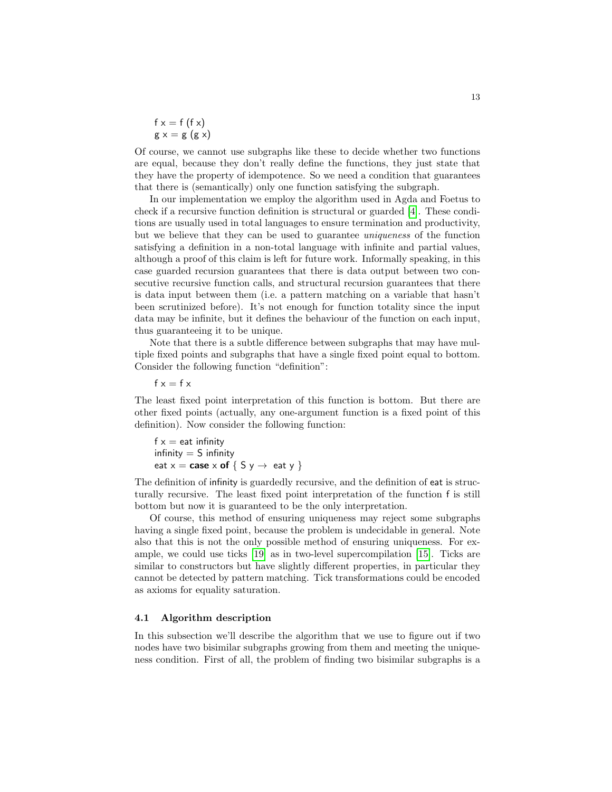$f x = f (f x)$  $g x = g (g x)$ 

Of course, we cannot use subgraphs like these to decide whether two functions are equal, because they don't really define the functions, they just state that they have the property of idempotence. So we need a condition that guarantees that there is (semantically) only one function satisfying the subgraph.

In our implementation we employ the algorithm used in Agda and Foetus to check if a recursive function definition is structural or guarded [\[4\]](#page-25-2). These conditions are usually used in total languages to ensure termination and productivity, but we believe that they can be used to guarantee uniqueness of the function satisfying a definition in a non-total language with infinite and partial values, although a proof of this claim is left for future work. Informally speaking, in this case guarded recursion guarantees that there is data output between two consecutive recursive function calls, and structural recursion guarantees that there is data input between them (i.e. a pattern matching on a variable that hasn't been scrutinized before). It's not enough for function totality since the input data may be infinite, but it defines the behaviour of the function on each input, thus guaranteeing it to be unique.

Note that there is a subtle difference between subgraphs that may have multiple fixed points and subgraphs that have a single fixed point equal to bottom. Consider the following function "definition":

 $f x = f x$ 

The least fixed point interpretation of this function is bottom. But there are other fixed points (actually, any one-argument function is a fixed point of this definition). Now consider the following function:

 $f x = eat$  infinity infinity  $=$  S infinity eat  $x = \cose x$  of  $\{ S y \rightarrow e$ at y  $\}$ 

The definition of infinity is guardedly recursive, and the definition of eat is structurally recursive. The least fixed point interpretation of the function f is still bottom but now it is guaranteed to be the only interpretation.

Of course, this method of ensuring uniqueness may reject some subgraphs having a single fixed point, because the problem is undecidable in general. Note also that this is not the only possible method of ensuring uniqueness. For example, we could use ticks [\[19\]](#page-26-5) as in two-level supercompilation [\[15\]](#page-26-6). Ticks are similar to constructors but have slightly different properties, in particular they cannot be detected by pattern matching. Tick transformations could be encoded as axioms for equality saturation.

### 4.1 Algorithm description

In this subsection we'll describe the algorithm that we use to figure out if two nodes have two bisimilar subgraphs growing from them and meeting the uniqueness condition. First of all, the problem of finding two bisimilar subgraphs is a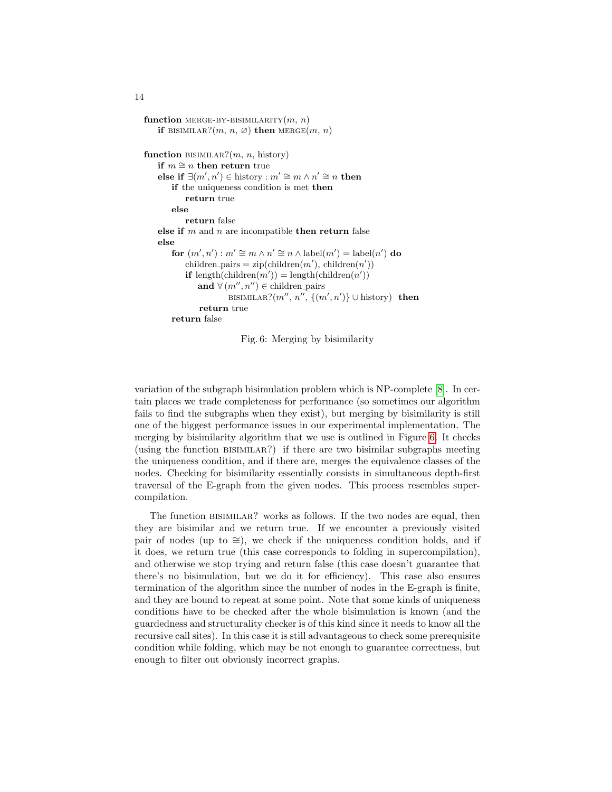```
function MERGE-BY-BISIMILARITY(m, n)if BISIMILAR?(m, n, \emptyset) then MERGE(m, n)function BISIMILAR?(m, n, history)if m \cong n then return true
    else if \exists (m', n') \in \text{history}: m' \cong m \land n' \cong n then
       if the uniqueness condition is met then
           return true
       else
           return false
   else if m and n are incompatible then return false
   else
        for (m', n') : m' \cong m \wedge n' \cong n \wedge \text{label}(m') = \text{label}(n') do
            children pairs = zip(children(m'), children(n'))if length(children(m')) = length(children(n'))
               and \forall (m'', n'') \in \text{children-pairs}BISIMILAR?(m'', n'', \{(m', n')\} \cup \text{history}) then
               return true
       return false
```
Fig. 6: Merging by bisimilarity

variation of the subgraph bisimulation problem which is NP-complete [\[8\]](#page-26-7). In certain places we trade completeness for performance (so sometimes our algorithm fails to find the subgraphs when they exist), but merging by bisimilarity is still one of the biggest performance issues in our experimental implementation. The merging by bisimilarity algorithm that we use is outlined in Figure [6.](#page-13-0) It checks (using the function bisimilar?) if there are two bisimilar subgraphs meeting the uniqueness condition, and if there are, merges the equivalence classes of the nodes. Checking for bisimilarity essentially consists in simultaneous depth-first traversal of the E-graph from the given nodes. This process resembles supercompilation.

The function bisimilar? works as follows. If the two nodes are equal, then they are bisimilar and we return true. If we encounter a previously visited pair of nodes (up to  $\cong$ ), we check if the uniqueness condition holds, and if it does, we return true (this case corresponds to folding in supercompilation), and otherwise we stop trying and return false (this case doesn't guarantee that there's no bisimulation, but we do it for efficiency). This case also ensures termination of the algorithm since the number of nodes in the E-graph is finite, and they are bound to repeat at some point. Note that some kinds of uniqueness conditions have to be checked after the whole bisimulation is known (and the guardedness and structurality checker is of this kind since it needs to know all the recursive call sites). In this case it is still advantageous to check some prerequisite condition while folding, which may be not enough to guarantee correctness, but enough to filter out obviously incorrect graphs.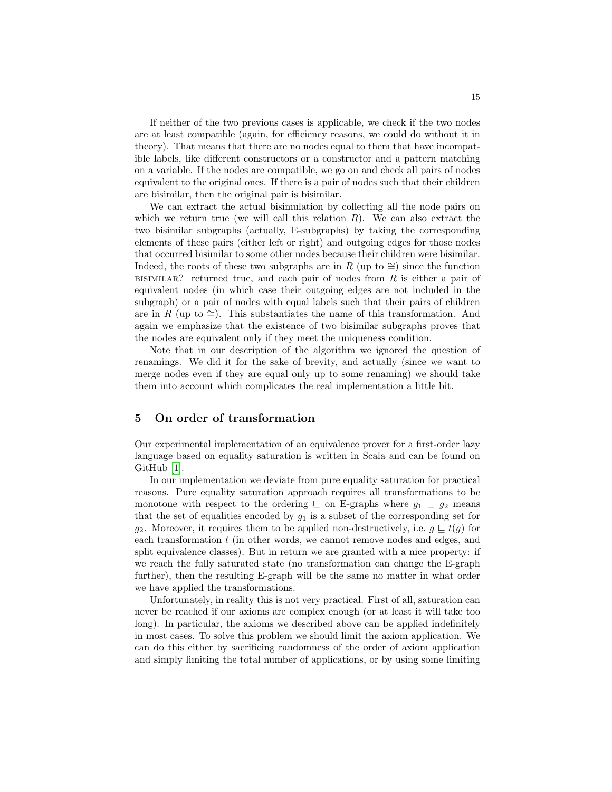If neither of the two previous cases is applicable, we check if the two nodes are at least compatible (again, for efficiency reasons, we could do without it in theory). That means that there are no nodes equal to them that have incompatible labels, like different constructors or a constructor and a pattern matching on a variable. If the nodes are compatible, we go on and check all pairs of nodes equivalent to the original ones. If there is a pair of nodes such that their children are bisimilar, then the original pair is bisimilar.

We can extract the actual bisimulation by collecting all the node pairs on which we return true (we will call this relation  $R$ ). We can also extract the two bisimilar subgraphs (actually, E-subgraphs) by taking the corresponding elements of these pairs (either left or right) and outgoing edges for those nodes that occurred bisimilar to some other nodes because their children were bisimilar. Indeed, the roots of these two subgraphs are in R (up to  $\cong$ ) since the function BISIMILAR? returned true, and each pair of nodes from  $R$  is either a pair of equivalent nodes (in which case their outgoing edges are not included in the subgraph) or a pair of nodes with equal labels such that their pairs of children are in R (up to ≅). This substantiates the name of this transformation. And again we emphasize that the existence of two bisimilar subgraphs proves that the nodes are equivalent only if they meet the uniqueness condition.

Note that in our description of the algorithm we ignored the question of renamings. We did it for the sake of brevity, and actually (since we want to merge nodes even if they are equal only up to some renaming) we should take them into account which complicates the real implementation a little bit.

# <span id="page-14-0"></span>5 On order of transformation

Our experimental implementation of an equivalence prover for a first-order lazy language based on equality saturation is written in Scala and can be found on GitHub [\[1\]](#page-25-3).

In our implementation we deviate from pure equality saturation for practical reasons. Pure equality saturation approach requires all transformations to be monotone with respect to the ordering  $\subseteq$  on E-graphs where  $g_1 \subseteq g_2$  means that the set of equalities encoded by  $g_1$  is a subset of the corresponding set for  $q_2$ . Moreover, it requires them to be applied non-destructively, i.e.  $q \sqsubseteq t(q)$  for each transformation  $t$  (in other words, we cannot remove nodes and edges, and split equivalence classes). But in return we are granted with a nice property: if we reach the fully saturated state (no transformation can change the E-graph further), then the resulting E-graph will be the same no matter in what order we have applied the transformations.

Unfortunately, in reality this is not very practical. First of all, saturation can never be reached if our axioms are complex enough (or at least it will take too long). In particular, the axioms we described above can be applied indefinitely in most cases. To solve this problem we should limit the axiom application. We can do this either by sacrificing randomness of the order of axiom application and simply limiting the total number of applications, or by using some limiting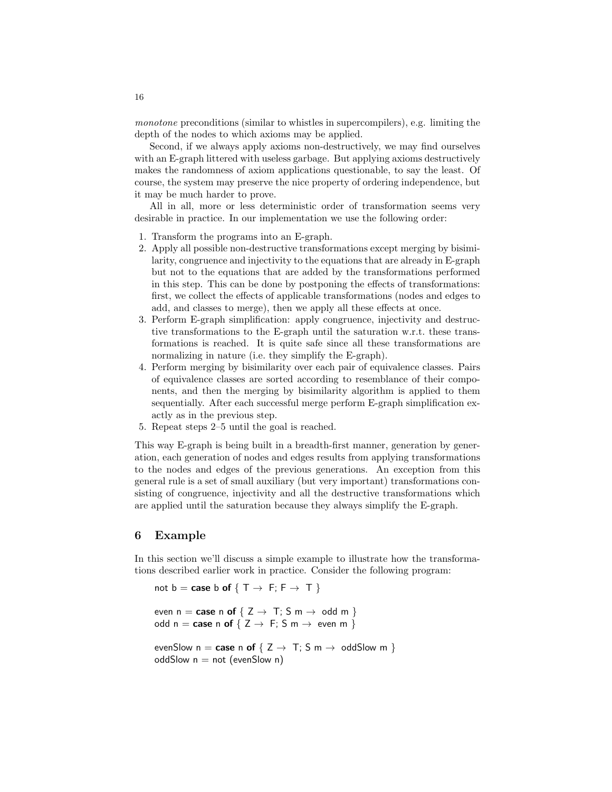monotone preconditions (similar to whistles in supercompilers), e.g. limiting the depth of the nodes to which axioms may be applied.

Second, if we always apply axioms non-destructively, we may find ourselves with an E-graph littered with useless garbage. But applying axioms destructively makes the randomness of axiom applications questionable, to say the least. Of course, the system may preserve the nice property of ordering independence, but it may be much harder to prove.

All in all, more or less deterministic order of transformation seems very desirable in practice. In our implementation we use the following order:

- 1. Transform the programs into an E-graph.
- 2. Apply all possible non-destructive transformations except merging by bisimilarity, congruence and injectivity to the equations that are already in E-graph but not to the equations that are added by the transformations performed in this step. This can be done by postponing the effects of transformations: first, we collect the effects of applicable transformations (nodes and edges to add, and classes to merge), then we apply all these effects at once.
- 3. Perform E-graph simplification: apply congruence, injectivity and destructive transformations to the E-graph until the saturation w.r.t. these transformations is reached. It is quite safe since all these transformations are normalizing in nature (i.e. they simplify the E-graph).
- 4. Perform merging by bisimilarity over each pair of equivalence classes. Pairs of equivalence classes are sorted according to resemblance of their components, and then the merging by bisimilarity algorithm is applied to them sequentially. After each successful merge perform E-graph simplification exactly as in the previous step.
- 5. Repeat steps 2–5 until the goal is reached.

This way E-graph is being built in a breadth-first manner, generation by generation, each generation of nodes and edges results from applying transformations to the nodes and edges of the previous generations. An exception from this general rule is a set of small auxiliary (but very important) transformations consisting of congruence, injectivity and all the destructive transformations which are applied until the saturation because they always simplify the E-graph.

### <span id="page-15-0"></span>6 Example

In this section we'll discuss a simple example to illustrate how the transformations described earlier work in practice. Consider the following program:

```
not b = \text{case } b \text{ of } \{ T \rightarrow F; F \rightarrow T \}
```

```
even n = \text{case n of } \{ Z \rightarrow T : S m \rightarrow \text{odd } m \}odd n = case n of \{ Z \rightarrow F : S \text{ m} \rightarrow \text{ even m } \}
```

```
evenSlow n = \text{case} \text{ in of } \{ Z \rightarrow T : S \text{ in } \rightarrow \text{ odd}Slow m \}oddSlow n = not (evenSlow n)
```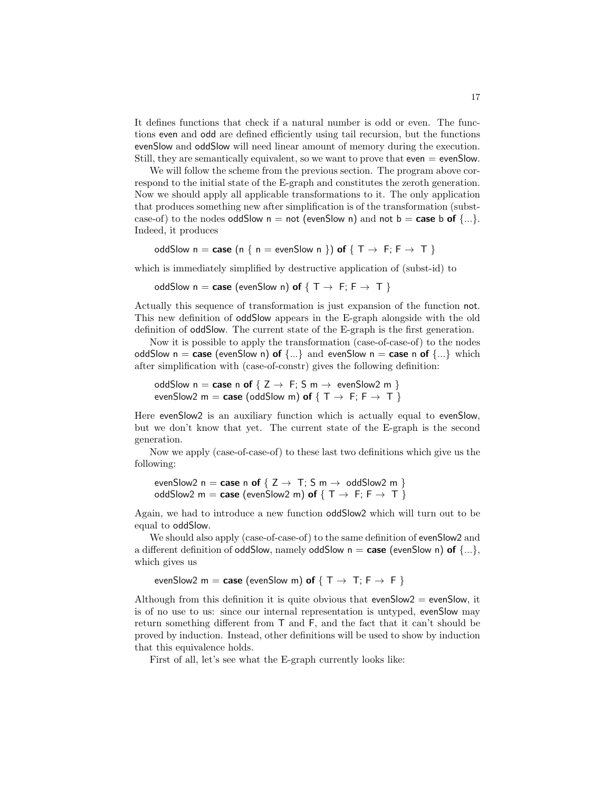It defines functions that check if a natural number is odd or even. The functions even and odd are defined efficiently using tail recursion, but the functions evenSlow and oddSlow will need linear amount of memory during the execution. Still, they are semantically equivalent, so we want to prove that even = evenSlow.

We will follow the scheme from the previous section. The program above correspond to the initial state of the E-graph and constitutes the zeroth generation. Now we should apply all applicable transformations to it. The only application that produces something new after simplification is of the transformation (substcase-of) to the nodes oddSlow  $n = not$  (evenSlow n) and not  $b = case$  b of  $\{...\}$ . Indeed, it produces

```
oddSlow n = \text{case} (n \{ n = \text{even} \text{Show } n \}) \text{ of } \{ T \rightarrow F; F \rightarrow T \}
```
which is immediately simplified by destructive application of (subst-id) to

oddSlow  $n = \text{case}$  (evenSlow n) of  $\{ T \rightarrow F : F \rightarrow T \}$ 

Actually this sequence of transformation is just expansion of the function not. This new definition of oddSlow appears in the E-graph alongside with the old definition of oddSlow. The current state of the E-graph is the first generation.

Now it is possible to apply the transformation (case-of-case-of) to the nodes oddSlow  $n = \text{case}$  (evenSlow n) of  $\{...\}$  and evenSlow  $n = \text{case}$  n of  $\{...\}$  which after simplification with (case-of-constr) gives the following definition:

```
oddSlow n = \text{case} \text{ in of } \{ Z \rightarrow F : S \text{ m} \rightarrow \text{ even} \text{Show } 2 \text{ m} \}evenSlow2 m = case (oddSlow m) of \{T \rightarrow F; F \rightarrow T\}
```
Here evenSlow2 is an auxiliary function which is actually equal to evenSlow, but we don't know that yet. The current state of the E-graph is the second generation.

Now we apply (case-of-case-of) to these last two definitions which give us the following:

```
evenSlow2 n = case n of \{ Z \rightarrow T : S m \rightarrow \text{odd}Slow2 m \}oddSlow2 m = case (evenSlow2 m) of \{T \rightarrow F; F \rightarrow T\}
```
Again, we had to introduce a new function oddSlow2 which will turn out to be equal to oddSlow.

We should also apply (case-of-case-of) to the same definition of evenSlow2 and a different definition of oddSlow, namely oddSlow  $n = \text{case}$  (evenSlow n) of  $\{\ldots\}$ , which gives us

```
evenSlow2 m = case (evenSlow m) of \{ T \rightarrow T; F \rightarrow F \}
```
Although from this definition it is quite obvious that evenSlow $2 =$  evenSlow, it is of no use to us: since our internal representation is untyped, evenSlow may return something different from T and F, and the fact that it can't should be proved by induction. Instead, other definitions will be used to show by induction that this equivalence holds.

First of all, let's see what the E-graph currently looks like: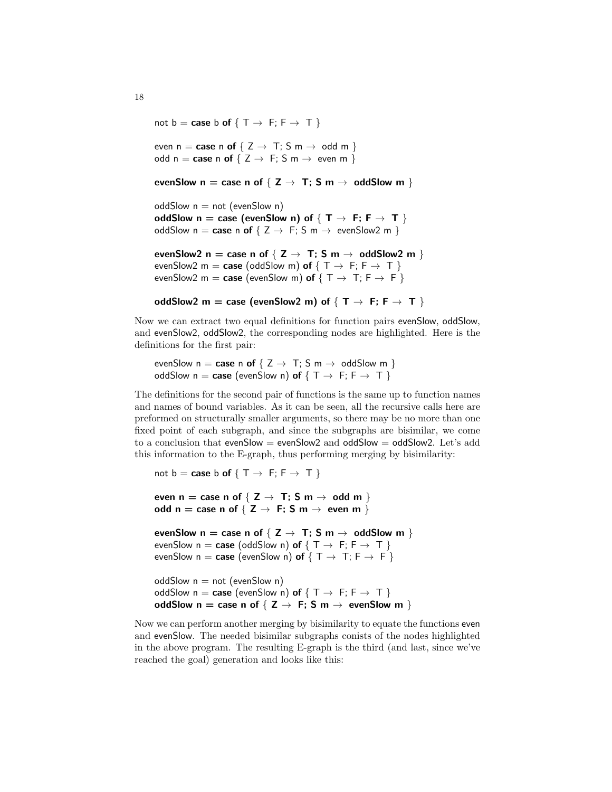not  $b = \text{case } b \text{ of } \{ T \rightarrow F; F \rightarrow T \}$ 

even  $n = \text{case} \text{ n of } \{ Z \rightarrow T : S \text{ m} \rightarrow \text{ odd } m \}$ odd  $n = \text{case} \text{ n of } \{ Z \rightarrow F : S \text{ m} \rightarrow \text{ even } \text{ m } \}$ 

```
evenSlow n = \text{case n of } \{ Z \rightarrow T; S m \rightarrow \text{odd}Slow m \}
```

```
oddSlow n = not (evenSlow n)
oddSlow n = \text{case} (evenSlow n) of \{ T \rightarrow F : F \rightarrow T \}oddSlow n = \text{case} \, n \, \text{of} \, \{ Z \rightarrow F : S \, m \rightarrow \text{even} \, \text{Show} \, 2 \, m \}
```

```
evenSlow2 n = case n of {Z \rightarrow T; S m \rightarrow oddSlow2 m }
evenSlow2 m = case (oddSlow m) of \{T \rightarrow F: F \rightarrow T\}evenSlow2 m = case (evenSlow m) of \{T \rightarrow T; F \rightarrow F\}
```

```
oddSlow2 m = case (evenSlow2 m) of \{ T \rightarrow F; F \rightarrow T \}
```
Now we can extract two equal definitions for function pairs evenSlow, oddSlow, and evenSlow2, oddSlow2, the corresponding nodes are highlighted. Here is the definitions for the first pair:

evenSlow  $n = \text{case} \text{ in of } \{ Z \rightarrow \text{T}; S \text{ m} \rightarrow \text{odd} \text{slow } \text{m} \}$ oddSlow  $n = \text{case}$  (evenSlow n) of  $\{ T \rightarrow F : F \rightarrow T \}$ 

The definitions for the second pair of functions is the same up to function names and names of bound variables. As it can be seen, all the recursive calls here are preformed on structurally smaller arguments, so there may be no more than one fixed point of each subgraph, and since the subgraphs are bisimilar, we come to a conclusion that evenSlow = evenSlow2 and oddSlow = oddSlow2. Let's add this information to the E-graph, thus performing merging by bisimilarity:

```
not b = \text{case } b \text{ of } \{ T \rightarrow F; F \rightarrow T \}even n = \text{case n of } \{ Z \rightarrow T; S m \rightarrow \text{odd } m \}odd n = case n of \{ Z \rightarrow F : S \text{ m} \rightarrow \text{ even } \text{ m} \}evenSlow n = \text{case n of } \{ Z \rightarrow T; S m \rightarrow \text{odd}Slow m \}evenSlow n = \text{case} (oddSlow n) of \{ T \rightarrow F : F \rightarrow T \}evenSlow n = \text{case} (evenSlow n) of \{T \rightarrow T; F \rightarrow F\}oddSlow n = not (evenSlow n)
oddSlow n = \text{case} (evenSlow n) of \{ T \rightarrow F : F \rightarrow T \}oddSlow n = \text{case n of } \{ Z \rightarrow F; S m \rightarrow \text{ even} \text{Show } m \}
```
Now we can perform another merging by bisimilarity to equate the functions even and evenSlow. The needed bisimilar subgraphs conists of the nodes highlighted in the above program. The resulting E-graph is the third (and last, since we've reached the goal) generation and looks like this: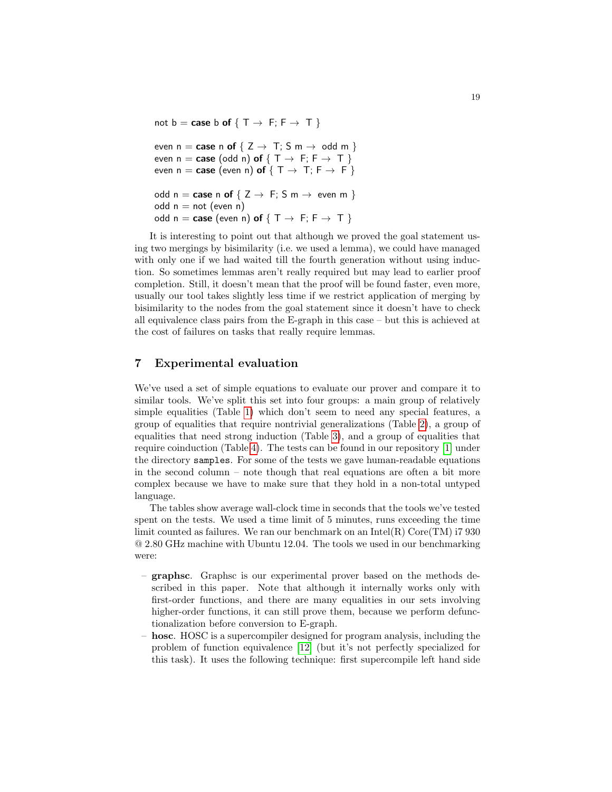not b = case b of  $\{T \rightarrow F; F \rightarrow T\}$ 

```
even n = \text{case} \text{ n of } \{ Z \rightarrow T; S \text{ m} \rightarrow \text{ odd m } \}even n = \text{case} \text{ (odd } n) \text{ of } \{ T \rightarrow F; F \rightarrow T \}even n = \text{case} (even n) of \{ T \rightarrow T : F \rightarrow F \}odd n = \text{case} \text{ n of } \{ Z \rightarrow F; S \text{ m} \rightarrow \text{ even} \text{ m } \}odd n = not (even n)
odd n = case (even n) of \{T \rightarrow F; F \rightarrow T\}
```
It is interesting to point out that although we proved the goal statement using two mergings by bisimilarity (i.e. we used a lemma), we could have managed with only one if we had waited till the fourth generation without using induction. So sometimes lemmas aren't really required but may lead to earlier proof completion. Still, it doesn't mean that the proof will be found faster, even more, usually our tool takes slightly less time if we restrict application of merging by bisimilarity to the nodes from the goal statement since it doesn't have to check all equivalence class pairs from the E-graph in this case – but this is achieved at the cost of failures on tasks that really require lemmas.

# <span id="page-18-0"></span>7 Experimental evaluation

We've used a set of simple equations to evaluate our prover and compare it to similar tools. We've split this set into four groups: a main group of relatively simple equalities (Table [1\)](#page-20-0) which don't seem to need any special features, a group of equalities that require nontrivial generalizations (Table [2\)](#page-21-0), a group of equalities that need strong induction (Table [3\)](#page-22-1), and a group of equalities that require coinduction (Table [4\)](#page-22-2). The tests can be found in our repository [\[1\]](#page-25-3) under the directory samples. For some of the tests we gave human-readable equations in the second column – note though that real equations are often a bit more complex because we have to make sure that they hold in a non-total untyped language.

The tables show average wall-clock time in seconds that the tools we've tested spent on the tests. We used a time limit of 5 minutes, runs exceeding the time limit counted as failures. We ran our benchmark on an  $Intel(R)$  Core $(TM)$  i7 930 @ 2.80 GHz machine with Ubuntu 12.04. The tools we used in our benchmarking were:

- graphsc. Graphsc is our experimental prover based on the methods described in this paper. Note that although it internally works only with first-order functions, and there are many equalities in our sets involving higher-order functions, it can still prove them, because we perform defunctionalization before conversion to E-graph.
- hosc. HOSC is a supercompiler designed for program analysis, including the problem of function equivalence [\[12\]](#page-26-8) (but it's not perfectly specialized for this task). It uses the following technique: first supercompile left hand side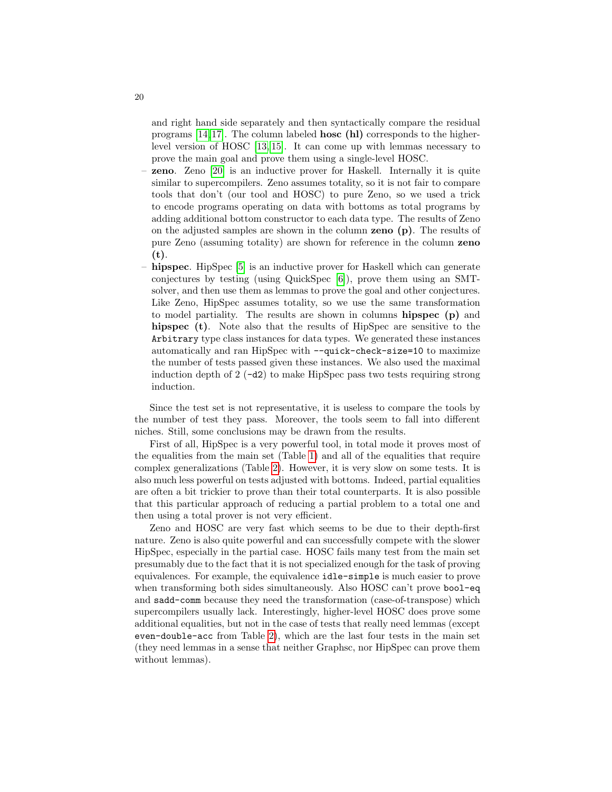and right hand side separately and then syntactically compare the residual programs  $[14, 17]$  $[14, 17]$ . The column labeled **hosc** (h) corresponds to the higherlevel version of HOSC [\[13,](#page-26-11) [15\]](#page-26-6). It can come up with lemmas necessary to prove the main goal and prove them using a single-level HOSC.

- zeno. Zeno [\[20\]](#page-26-4) is an inductive prover for Haskell. Internally it is quite similar to supercompilers. Zeno assumes totality, so it is not fair to compare tools that don't (our tool and HOSC) to pure Zeno, so we used a trick to encode programs operating on data with bottoms as total programs by adding additional bottom constructor to each data type. The results of Zeno on the adjusted samples are shown in the column zeno (p). The results of pure Zeno (assuming totality) are shown for reference in the column zeno (t).
- hipspec. HipSpec [\[5\]](#page-25-0) is an inductive prover for Haskell which can generate conjectures by testing (using QuickSpec [\[6\]](#page-26-12)), prove them using an SMTsolver, and then use them as lemmas to prove the goal and other conjectures. Like Zeno, HipSpec assumes totality, so we use the same transformation to model partiality. The results are shown in columns hipspec (p) and hipspec (t). Note also that the results of HipSpec are sensitive to the Arbitrary type class instances for data types. We generated these instances automatically and ran HipSpec with --quick-check-size=10 to maximize the number of tests passed given these instances. We also used the maximal induction depth of  $2(-d2)$  to make HipSpec pass two tests requiring strong induction.

Since the test set is not representative, it is useless to compare the tools by the number of test they pass. Moreover, the tools seem to fall into different niches. Still, some conclusions may be drawn from the results.

First of all, HipSpec is a very powerful tool, in total mode it proves most of the equalities from the main set (Table [1\)](#page-20-0) and all of the equalities that require complex generalizations (Table [2\)](#page-21-0). However, it is very slow on some tests. It is also much less powerful on tests adjusted with bottoms. Indeed, partial equalities are often a bit trickier to prove than their total counterparts. It is also possible that this particular approach of reducing a partial problem to a total one and then using a total prover is not very efficient.

Zeno and HOSC are very fast which seems to be due to their depth-first nature. Zeno is also quite powerful and can successfully compete with the slower HipSpec, especially in the partial case. HOSC fails many test from the main set presumably due to the fact that it is not specialized enough for the task of proving equivalences. For example, the equivalence idle-simple is much easier to prove when transforming both sides simultaneously. Also HOSC can't prove bool-eq and sadd-comm because they need the transformation (case-of-transpose) which supercompilers usually lack. Interestingly, higher-level HOSC does prove some additional equalities, but not in the case of tests that really need lemmas (except even-double-acc from Table [2\)](#page-21-0), which are the last four tests in the main set (they need lemmas in a sense that neither Graphsc, nor HipSpec can prove them without lemmas).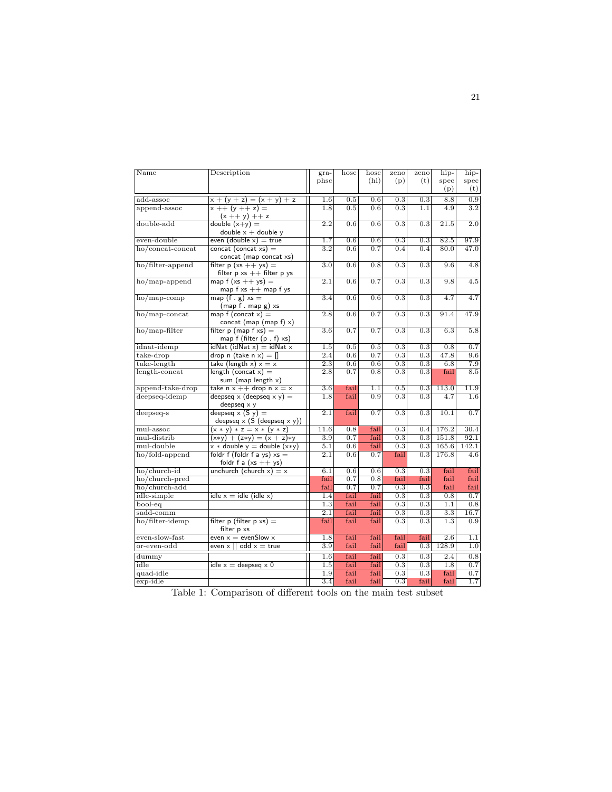<span id="page-20-0"></span>

| phsc<br>(h <sub>l</sub> )<br>(p)<br>(t)<br>spec<br>spec<br>(p)<br>(t)<br>8.8<br>0.9<br>add-assoc<br>$x + (y + z) = (x + y) + z$<br>1.6<br>0.5<br>0.6<br>0.3<br>0.3<br>0.6<br>$\overline{0.3}$<br>4.9<br>$\overline{3.2}$<br>append-assoc<br>$x + (y + z) =$<br>1.8<br>0.5<br>1.1<br>$(x + y) + z$<br>double-add<br>double $(x+y) =$<br>2.2<br>0.3<br>0.6<br>0.6<br>0.3<br>21.5<br>2.0<br>double $x +$ double y<br>even $(double x) = true$<br>even-double<br>0.6<br>0.6<br>0.3<br>82.5<br>1.7<br>0.3<br>97.9<br>$concat (concat xs) =$<br>ho/concat-concat<br>0.6<br>3.2<br>0.7<br>0.4<br>0.4<br>80.0<br>47.0<br>concat (map concat xs)<br>ho/filter-append<br>filter $p (xs ++ ys) =$<br>3.0<br>0.6<br>0.8<br>0.3<br>0.3<br>9.6<br>4.8<br>filter $p \times s$ + filter $p \times s$<br>map $f (xs + + ys) =$<br>2.1<br>0.6<br>0.7<br>0.3<br>0.3<br>9.8<br>4.5<br>ho/map-append<br>map $f$ xs $++$ map $f$ ys<br>map $(f g) x s =$<br>0.3<br>4.7<br>$ho/map$ -comp<br>3.4<br>0.6<br>0.6<br>0.3<br>4.7<br>$(map f . map g)$ xs<br>0.7<br>0.3<br>ho/map-concat<br>map f (concat $x$ ) =<br>2.8<br>0.6<br>0.3<br>91.4<br>47.9<br>concat (map (map $f(x)$ )<br>filter $p$ (map $f$ xs) =<br>$ho/map-filter$<br>$\overline{3.6}$<br>0.7<br>0.7<br>0.3<br>0.3<br>6.3<br>$\overline{5.8}$<br>map f (filter (p. f) xs)<br>$idNat$ ( $idNat$ x) = $idNat$ x<br>idnat-idemp<br>1.5<br>0.5<br>0.5<br>0.3<br>0.3<br>0.8<br>0.7<br>0.3<br>$take\text{-}drop$<br>drop n (take n $x$ ) = []<br>2.4<br>0.6<br>0.7<br>0.3<br>47.8<br>9.6<br>take (length $x$ ) $x = x$<br>take-length<br>2.3<br>0.6<br>0.6<br>0.3<br>0.3<br>6.8<br>7.9<br>length-concat<br>length (concat $x$ ) =<br>$\overline{0.8}$<br>$\overline{0.3}$<br>$\overline{0.3}$<br>8.5<br>2.8<br>0.7<br>fail<br>sum (map length $x$ )<br>take $n x + 1$ drop $n x = x$<br>append-take-drop<br>1.1<br>113.0<br>$3.6\,$<br>fail<br>0.5<br>0.3<br>11.9<br>deepseq $\times$ (deepseq $\times$ y) =<br>deepseq-idemp<br>fail<br>0.3<br>0.3<br>4.7<br>1.8<br>0.9<br>1.6<br>deepseq $\times$ y<br>deepseq $\times$ (S y) =<br>2.1<br>0.3<br>0.3<br>10.1<br>0.7<br>fail<br>0.7<br>$deepseq-s$<br>deepseq $\times$ (S (deepseq $\times$ y))<br>fail<br>11.6<br>0.8<br>0.3<br>0.4<br>176.2<br>30.4<br>mul-assoc<br>$(x * y) * z = x * (y * z)$<br>fail<br>151.8<br>mul-distrib<br>3.9<br>0.7<br>0.3<br>0.3<br>92.1<br>$(x*y) + (z*y) = (x + z)*y$<br>mul-double<br>$x * double y = double (x * y)$<br>5.1<br>0.6<br>fail<br>0.3<br>0.3<br>165.6<br>142.1<br>foldr f (foldr f a ys) $xs =$<br>$\overline{2.1}$<br>176.8<br>ho/fold-append<br>0.6<br>0.7<br>fail<br>0.3<br>4.6<br>foldr f a $(xs + ys)$<br>ho/church-id<br>unchurch (church $x$ ) = $x$<br>0.3<br>0.3<br>fail<br>6.1<br>0.6<br>0.6<br>fail<br>ho/church-pred<br>0.7<br>0.8<br>fail<br>fail<br>fail<br>fail<br>fail<br>ho/church-add<br>fail<br>0.7<br>0.7<br>0.3<br>0.3<br>fail<br>fail<br>idle-simple<br>$idle x = idle (idle x)$<br>0.3<br>0.3<br>0.7<br>1.4<br>fail<br>0.8<br>fail<br>1.3<br>fail<br>fail<br>0.3<br>0.3<br>1.1<br>0.8<br>bool-eq<br>sadd-comm<br>$\overline{2.1}$<br>fail<br>fail<br>$\overline{0.3}$<br>$\overline{0.3}$<br>$\overline{3.3}$<br>16.7<br>ho/filter-idemp<br>filter p (filter $p \times s$ ) =<br>fail<br>fail<br>0.3<br>0.3<br>1.3<br>0.9<br>fail<br>filter p xs<br>even-slow-fast<br>even $x =$ evenSlow x<br>fail<br>1.8<br>fail<br>fail<br>fail<br>2.6<br>1.1<br>$\overline{3.9}$<br>fail<br>fail<br>even $\times$   <br>$odd x = true$<br>fail<br>0.3<br>128.9<br>1.0<br>fail<br>fail<br>0.3<br>1.6<br>0.3<br>2.4<br>0.8<br>0.3<br>0.7<br>idle<br>idle $x =$ deepseq $x 0$<br>1.5<br>fail<br>fail<br>0.3<br>1.8<br>quad-idle<br>fail<br>fail<br>0.3<br>0.3<br>0.7<br>1.9<br>fail<br>1.7<br>$exp{-i dle}$<br>$\overline{3.4}$<br>fail<br>$\overline{0.3}$<br>fail<br>fail<br>fail | $\overline{\text{Name}}$ | Description | $gra-$ | hosc | hosc | zeno | zeno | hip- | hip- |
|--------------------------------------------------------------------------------------------------------------------------------------------------------------------------------------------------------------------------------------------------------------------------------------------------------------------------------------------------------------------------------------------------------------------------------------------------------------------------------------------------------------------------------------------------------------------------------------------------------------------------------------------------------------------------------------------------------------------------------------------------------------------------------------------------------------------------------------------------------------------------------------------------------------------------------------------------------------------------------------------------------------------------------------------------------------------------------------------------------------------------------------------------------------------------------------------------------------------------------------------------------------------------------------------------------------------------------------------------------------------------------------------------------------------------------------------------------------------------------------------------------------------------------------------------------------------------------------------------------------------------------------------------------------------------------------------------------------------------------------------------------------------------------------------------------------------------------------------------------------------------------------------------------------------------------------------------------------------------------------------------------------------------------------------------------------------------------------------------------------------------------------------------------------------------------------------------------------------------------------------------------------------------------------------------------------------------------------------------------------------------------------------------------------------------------------------------------------------------------------------------------------------------------------------------------------------------------------------------------------------------------------------------------------------------------------------------------------------------------------------------------------------------------------------------------------------------------------------------------------------------------------------------------------------------------------------------------------------------------------------------------------------------------------------------------------------------------------------------------------------------------------------------------------------------------------------------------------------------------------------------------------------------------------------------------------------------------------------------------------------------------------------------------------------------------------------------------------------------------------------------------------------------------------------------------------------------------------------------------------------------------------------------------------------------------------------------------------------------------------------------------------------------------------------------------------------------|--------------------------|-------------|--------|------|------|------|------|------|------|
|                                                                                                                                                                                                                                                                                                                                                                                                                                                                                                                                                                                                                                                                                                                                                                                                                                                                                                                                                                                                                                                                                                                                                                                                                                                                                                                                                                                                                                                                                                                                                                                                                                                                                                                                                                                                                                                                                                                                                                                                                                                                                                                                                                                                                                                                                                                                                                                                                                                                                                                                                                                                                                                                                                                                                                                                                                                                                                                                                                                                                                                                                                                                                                                                                                                                                                                                                                                                                                                                                                                                                                                                                                                                                                                                                                                                                          |                          |             |        |      |      |      |      |      |      |
|                                                                                                                                                                                                                                                                                                                                                                                                                                                                                                                                                                                                                                                                                                                                                                                                                                                                                                                                                                                                                                                                                                                                                                                                                                                                                                                                                                                                                                                                                                                                                                                                                                                                                                                                                                                                                                                                                                                                                                                                                                                                                                                                                                                                                                                                                                                                                                                                                                                                                                                                                                                                                                                                                                                                                                                                                                                                                                                                                                                                                                                                                                                                                                                                                                                                                                                                                                                                                                                                                                                                                                                                                                                                                                                                                                                                                          |                          |             |        |      |      |      |      |      |      |
|                                                                                                                                                                                                                                                                                                                                                                                                                                                                                                                                                                                                                                                                                                                                                                                                                                                                                                                                                                                                                                                                                                                                                                                                                                                                                                                                                                                                                                                                                                                                                                                                                                                                                                                                                                                                                                                                                                                                                                                                                                                                                                                                                                                                                                                                                                                                                                                                                                                                                                                                                                                                                                                                                                                                                                                                                                                                                                                                                                                                                                                                                                                                                                                                                                                                                                                                                                                                                                                                                                                                                                                                                                                                                                                                                                                                                          |                          |             |        |      |      |      |      |      |      |
|                                                                                                                                                                                                                                                                                                                                                                                                                                                                                                                                                                                                                                                                                                                                                                                                                                                                                                                                                                                                                                                                                                                                                                                                                                                                                                                                                                                                                                                                                                                                                                                                                                                                                                                                                                                                                                                                                                                                                                                                                                                                                                                                                                                                                                                                                                                                                                                                                                                                                                                                                                                                                                                                                                                                                                                                                                                                                                                                                                                                                                                                                                                                                                                                                                                                                                                                                                                                                                                                                                                                                                                                                                                                                                                                                                                                                          |                          |             |        |      |      |      |      |      |      |
|                                                                                                                                                                                                                                                                                                                                                                                                                                                                                                                                                                                                                                                                                                                                                                                                                                                                                                                                                                                                                                                                                                                                                                                                                                                                                                                                                                                                                                                                                                                                                                                                                                                                                                                                                                                                                                                                                                                                                                                                                                                                                                                                                                                                                                                                                                                                                                                                                                                                                                                                                                                                                                                                                                                                                                                                                                                                                                                                                                                                                                                                                                                                                                                                                                                                                                                                                                                                                                                                                                                                                                                                                                                                                                                                                                                                                          |                          |             |        |      |      |      |      |      |      |
|                                                                                                                                                                                                                                                                                                                                                                                                                                                                                                                                                                                                                                                                                                                                                                                                                                                                                                                                                                                                                                                                                                                                                                                                                                                                                                                                                                                                                                                                                                                                                                                                                                                                                                                                                                                                                                                                                                                                                                                                                                                                                                                                                                                                                                                                                                                                                                                                                                                                                                                                                                                                                                                                                                                                                                                                                                                                                                                                                                                                                                                                                                                                                                                                                                                                                                                                                                                                                                                                                                                                                                                                                                                                                                                                                                                                                          |                          |             |        |      |      |      |      |      |      |
|                                                                                                                                                                                                                                                                                                                                                                                                                                                                                                                                                                                                                                                                                                                                                                                                                                                                                                                                                                                                                                                                                                                                                                                                                                                                                                                                                                                                                                                                                                                                                                                                                                                                                                                                                                                                                                                                                                                                                                                                                                                                                                                                                                                                                                                                                                                                                                                                                                                                                                                                                                                                                                                                                                                                                                                                                                                                                                                                                                                                                                                                                                                                                                                                                                                                                                                                                                                                                                                                                                                                                                                                                                                                                                                                                                                                                          |                          |             |        |      |      |      |      |      |      |
|                                                                                                                                                                                                                                                                                                                                                                                                                                                                                                                                                                                                                                                                                                                                                                                                                                                                                                                                                                                                                                                                                                                                                                                                                                                                                                                                                                                                                                                                                                                                                                                                                                                                                                                                                                                                                                                                                                                                                                                                                                                                                                                                                                                                                                                                                                                                                                                                                                                                                                                                                                                                                                                                                                                                                                                                                                                                                                                                                                                                                                                                                                                                                                                                                                                                                                                                                                                                                                                                                                                                                                                                                                                                                                                                                                                                                          |                          |             |        |      |      |      |      |      |      |
|                                                                                                                                                                                                                                                                                                                                                                                                                                                                                                                                                                                                                                                                                                                                                                                                                                                                                                                                                                                                                                                                                                                                                                                                                                                                                                                                                                                                                                                                                                                                                                                                                                                                                                                                                                                                                                                                                                                                                                                                                                                                                                                                                                                                                                                                                                                                                                                                                                                                                                                                                                                                                                                                                                                                                                                                                                                                                                                                                                                                                                                                                                                                                                                                                                                                                                                                                                                                                                                                                                                                                                                                                                                                                                                                                                                                                          |                          |             |        |      |      |      |      |      |      |
|                                                                                                                                                                                                                                                                                                                                                                                                                                                                                                                                                                                                                                                                                                                                                                                                                                                                                                                                                                                                                                                                                                                                                                                                                                                                                                                                                                                                                                                                                                                                                                                                                                                                                                                                                                                                                                                                                                                                                                                                                                                                                                                                                                                                                                                                                                                                                                                                                                                                                                                                                                                                                                                                                                                                                                                                                                                                                                                                                                                                                                                                                                                                                                                                                                                                                                                                                                                                                                                                                                                                                                                                                                                                                                                                                                                                                          |                          |             |        |      |      |      |      |      |      |
|                                                                                                                                                                                                                                                                                                                                                                                                                                                                                                                                                                                                                                                                                                                                                                                                                                                                                                                                                                                                                                                                                                                                                                                                                                                                                                                                                                                                                                                                                                                                                                                                                                                                                                                                                                                                                                                                                                                                                                                                                                                                                                                                                                                                                                                                                                                                                                                                                                                                                                                                                                                                                                                                                                                                                                                                                                                                                                                                                                                                                                                                                                                                                                                                                                                                                                                                                                                                                                                                                                                                                                                                                                                                                                                                                                                                                          |                          |             |        |      |      |      |      |      |      |
|                                                                                                                                                                                                                                                                                                                                                                                                                                                                                                                                                                                                                                                                                                                                                                                                                                                                                                                                                                                                                                                                                                                                                                                                                                                                                                                                                                                                                                                                                                                                                                                                                                                                                                                                                                                                                                                                                                                                                                                                                                                                                                                                                                                                                                                                                                                                                                                                                                                                                                                                                                                                                                                                                                                                                                                                                                                                                                                                                                                                                                                                                                                                                                                                                                                                                                                                                                                                                                                                                                                                                                                                                                                                                                                                                                                                                          |                          |             |        |      |      |      |      |      |      |
|                                                                                                                                                                                                                                                                                                                                                                                                                                                                                                                                                                                                                                                                                                                                                                                                                                                                                                                                                                                                                                                                                                                                                                                                                                                                                                                                                                                                                                                                                                                                                                                                                                                                                                                                                                                                                                                                                                                                                                                                                                                                                                                                                                                                                                                                                                                                                                                                                                                                                                                                                                                                                                                                                                                                                                                                                                                                                                                                                                                                                                                                                                                                                                                                                                                                                                                                                                                                                                                                                                                                                                                                                                                                                                                                                                                                                          |                          |             |        |      |      |      |      |      |      |
|                                                                                                                                                                                                                                                                                                                                                                                                                                                                                                                                                                                                                                                                                                                                                                                                                                                                                                                                                                                                                                                                                                                                                                                                                                                                                                                                                                                                                                                                                                                                                                                                                                                                                                                                                                                                                                                                                                                                                                                                                                                                                                                                                                                                                                                                                                                                                                                                                                                                                                                                                                                                                                                                                                                                                                                                                                                                                                                                                                                                                                                                                                                                                                                                                                                                                                                                                                                                                                                                                                                                                                                                                                                                                                                                                                                                                          |                          |             |        |      |      |      |      |      |      |
|                                                                                                                                                                                                                                                                                                                                                                                                                                                                                                                                                                                                                                                                                                                                                                                                                                                                                                                                                                                                                                                                                                                                                                                                                                                                                                                                                                                                                                                                                                                                                                                                                                                                                                                                                                                                                                                                                                                                                                                                                                                                                                                                                                                                                                                                                                                                                                                                                                                                                                                                                                                                                                                                                                                                                                                                                                                                                                                                                                                                                                                                                                                                                                                                                                                                                                                                                                                                                                                                                                                                                                                                                                                                                                                                                                                                                          |                          |             |        |      |      |      |      |      |      |
|                                                                                                                                                                                                                                                                                                                                                                                                                                                                                                                                                                                                                                                                                                                                                                                                                                                                                                                                                                                                                                                                                                                                                                                                                                                                                                                                                                                                                                                                                                                                                                                                                                                                                                                                                                                                                                                                                                                                                                                                                                                                                                                                                                                                                                                                                                                                                                                                                                                                                                                                                                                                                                                                                                                                                                                                                                                                                                                                                                                                                                                                                                                                                                                                                                                                                                                                                                                                                                                                                                                                                                                                                                                                                                                                                                                                                          |                          |             |        |      |      |      |      |      |      |
|                                                                                                                                                                                                                                                                                                                                                                                                                                                                                                                                                                                                                                                                                                                                                                                                                                                                                                                                                                                                                                                                                                                                                                                                                                                                                                                                                                                                                                                                                                                                                                                                                                                                                                                                                                                                                                                                                                                                                                                                                                                                                                                                                                                                                                                                                                                                                                                                                                                                                                                                                                                                                                                                                                                                                                                                                                                                                                                                                                                                                                                                                                                                                                                                                                                                                                                                                                                                                                                                                                                                                                                                                                                                                                                                                                                                                          |                          |             |        |      |      |      |      |      |      |
|                                                                                                                                                                                                                                                                                                                                                                                                                                                                                                                                                                                                                                                                                                                                                                                                                                                                                                                                                                                                                                                                                                                                                                                                                                                                                                                                                                                                                                                                                                                                                                                                                                                                                                                                                                                                                                                                                                                                                                                                                                                                                                                                                                                                                                                                                                                                                                                                                                                                                                                                                                                                                                                                                                                                                                                                                                                                                                                                                                                                                                                                                                                                                                                                                                                                                                                                                                                                                                                                                                                                                                                                                                                                                                                                                                                                                          |                          |             |        |      |      |      |      |      |      |
|                                                                                                                                                                                                                                                                                                                                                                                                                                                                                                                                                                                                                                                                                                                                                                                                                                                                                                                                                                                                                                                                                                                                                                                                                                                                                                                                                                                                                                                                                                                                                                                                                                                                                                                                                                                                                                                                                                                                                                                                                                                                                                                                                                                                                                                                                                                                                                                                                                                                                                                                                                                                                                                                                                                                                                                                                                                                                                                                                                                                                                                                                                                                                                                                                                                                                                                                                                                                                                                                                                                                                                                                                                                                                                                                                                                                                          |                          |             |        |      |      |      |      |      |      |
|                                                                                                                                                                                                                                                                                                                                                                                                                                                                                                                                                                                                                                                                                                                                                                                                                                                                                                                                                                                                                                                                                                                                                                                                                                                                                                                                                                                                                                                                                                                                                                                                                                                                                                                                                                                                                                                                                                                                                                                                                                                                                                                                                                                                                                                                                                                                                                                                                                                                                                                                                                                                                                                                                                                                                                                                                                                                                                                                                                                                                                                                                                                                                                                                                                                                                                                                                                                                                                                                                                                                                                                                                                                                                                                                                                                                                          |                          |             |        |      |      |      |      |      |      |
|                                                                                                                                                                                                                                                                                                                                                                                                                                                                                                                                                                                                                                                                                                                                                                                                                                                                                                                                                                                                                                                                                                                                                                                                                                                                                                                                                                                                                                                                                                                                                                                                                                                                                                                                                                                                                                                                                                                                                                                                                                                                                                                                                                                                                                                                                                                                                                                                                                                                                                                                                                                                                                                                                                                                                                                                                                                                                                                                                                                                                                                                                                                                                                                                                                                                                                                                                                                                                                                                                                                                                                                                                                                                                                                                                                                                                          |                          |             |        |      |      |      |      |      |      |
|                                                                                                                                                                                                                                                                                                                                                                                                                                                                                                                                                                                                                                                                                                                                                                                                                                                                                                                                                                                                                                                                                                                                                                                                                                                                                                                                                                                                                                                                                                                                                                                                                                                                                                                                                                                                                                                                                                                                                                                                                                                                                                                                                                                                                                                                                                                                                                                                                                                                                                                                                                                                                                                                                                                                                                                                                                                                                                                                                                                                                                                                                                                                                                                                                                                                                                                                                                                                                                                                                                                                                                                                                                                                                                                                                                                                                          |                          |             |        |      |      |      |      |      |      |
|                                                                                                                                                                                                                                                                                                                                                                                                                                                                                                                                                                                                                                                                                                                                                                                                                                                                                                                                                                                                                                                                                                                                                                                                                                                                                                                                                                                                                                                                                                                                                                                                                                                                                                                                                                                                                                                                                                                                                                                                                                                                                                                                                                                                                                                                                                                                                                                                                                                                                                                                                                                                                                                                                                                                                                                                                                                                                                                                                                                                                                                                                                                                                                                                                                                                                                                                                                                                                                                                                                                                                                                                                                                                                                                                                                                                                          |                          |             |        |      |      |      |      |      |      |
|                                                                                                                                                                                                                                                                                                                                                                                                                                                                                                                                                                                                                                                                                                                                                                                                                                                                                                                                                                                                                                                                                                                                                                                                                                                                                                                                                                                                                                                                                                                                                                                                                                                                                                                                                                                                                                                                                                                                                                                                                                                                                                                                                                                                                                                                                                                                                                                                                                                                                                                                                                                                                                                                                                                                                                                                                                                                                                                                                                                                                                                                                                                                                                                                                                                                                                                                                                                                                                                                                                                                                                                                                                                                                                                                                                                                                          |                          |             |        |      |      |      |      |      |      |
|                                                                                                                                                                                                                                                                                                                                                                                                                                                                                                                                                                                                                                                                                                                                                                                                                                                                                                                                                                                                                                                                                                                                                                                                                                                                                                                                                                                                                                                                                                                                                                                                                                                                                                                                                                                                                                                                                                                                                                                                                                                                                                                                                                                                                                                                                                                                                                                                                                                                                                                                                                                                                                                                                                                                                                                                                                                                                                                                                                                                                                                                                                                                                                                                                                                                                                                                                                                                                                                                                                                                                                                                                                                                                                                                                                                                                          |                          |             |        |      |      |      |      |      |      |
|                                                                                                                                                                                                                                                                                                                                                                                                                                                                                                                                                                                                                                                                                                                                                                                                                                                                                                                                                                                                                                                                                                                                                                                                                                                                                                                                                                                                                                                                                                                                                                                                                                                                                                                                                                                                                                                                                                                                                                                                                                                                                                                                                                                                                                                                                                                                                                                                                                                                                                                                                                                                                                                                                                                                                                                                                                                                                                                                                                                                                                                                                                                                                                                                                                                                                                                                                                                                                                                                                                                                                                                                                                                                                                                                                                                                                          |                          |             |        |      |      |      |      |      |      |
|                                                                                                                                                                                                                                                                                                                                                                                                                                                                                                                                                                                                                                                                                                                                                                                                                                                                                                                                                                                                                                                                                                                                                                                                                                                                                                                                                                                                                                                                                                                                                                                                                                                                                                                                                                                                                                                                                                                                                                                                                                                                                                                                                                                                                                                                                                                                                                                                                                                                                                                                                                                                                                                                                                                                                                                                                                                                                                                                                                                                                                                                                                                                                                                                                                                                                                                                                                                                                                                                                                                                                                                                                                                                                                                                                                                                                          |                          |             |        |      |      |      |      |      |      |
|                                                                                                                                                                                                                                                                                                                                                                                                                                                                                                                                                                                                                                                                                                                                                                                                                                                                                                                                                                                                                                                                                                                                                                                                                                                                                                                                                                                                                                                                                                                                                                                                                                                                                                                                                                                                                                                                                                                                                                                                                                                                                                                                                                                                                                                                                                                                                                                                                                                                                                                                                                                                                                                                                                                                                                                                                                                                                                                                                                                                                                                                                                                                                                                                                                                                                                                                                                                                                                                                                                                                                                                                                                                                                                                                                                                                                          |                          |             |        |      |      |      |      |      |      |
|                                                                                                                                                                                                                                                                                                                                                                                                                                                                                                                                                                                                                                                                                                                                                                                                                                                                                                                                                                                                                                                                                                                                                                                                                                                                                                                                                                                                                                                                                                                                                                                                                                                                                                                                                                                                                                                                                                                                                                                                                                                                                                                                                                                                                                                                                                                                                                                                                                                                                                                                                                                                                                                                                                                                                                                                                                                                                                                                                                                                                                                                                                                                                                                                                                                                                                                                                                                                                                                                                                                                                                                                                                                                                                                                                                                                                          |                          |             |        |      |      |      |      |      |      |
|                                                                                                                                                                                                                                                                                                                                                                                                                                                                                                                                                                                                                                                                                                                                                                                                                                                                                                                                                                                                                                                                                                                                                                                                                                                                                                                                                                                                                                                                                                                                                                                                                                                                                                                                                                                                                                                                                                                                                                                                                                                                                                                                                                                                                                                                                                                                                                                                                                                                                                                                                                                                                                                                                                                                                                                                                                                                                                                                                                                                                                                                                                                                                                                                                                                                                                                                                                                                                                                                                                                                                                                                                                                                                                                                                                                                                          |                          |             |        |      |      |      |      |      |      |
|                                                                                                                                                                                                                                                                                                                                                                                                                                                                                                                                                                                                                                                                                                                                                                                                                                                                                                                                                                                                                                                                                                                                                                                                                                                                                                                                                                                                                                                                                                                                                                                                                                                                                                                                                                                                                                                                                                                                                                                                                                                                                                                                                                                                                                                                                                                                                                                                                                                                                                                                                                                                                                                                                                                                                                                                                                                                                                                                                                                                                                                                                                                                                                                                                                                                                                                                                                                                                                                                                                                                                                                                                                                                                                                                                                                                                          |                          |             |        |      |      |      |      |      |      |
|                                                                                                                                                                                                                                                                                                                                                                                                                                                                                                                                                                                                                                                                                                                                                                                                                                                                                                                                                                                                                                                                                                                                                                                                                                                                                                                                                                                                                                                                                                                                                                                                                                                                                                                                                                                                                                                                                                                                                                                                                                                                                                                                                                                                                                                                                                                                                                                                                                                                                                                                                                                                                                                                                                                                                                                                                                                                                                                                                                                                                                                                                                                                                                                                                                                                                                                                                                                                                                                                                                                                                                                                                                                                                                                                                                                                                          |                          |             |        |      |      |      |      |      |      |
|                                                                                                                                                                                                                                                                                                                                                                                                                                                                                                                                                                                                                                                                                                                                                                                                                                                                                                                                                                                                                                                                                                                                                                                                                                                                                                                                                                                                                                                                                                                                                                                                                                                                                                                                                                                                                                                                                                                                                                                                                                                                                                                                                                                                                                                                                                                                                                                                                                                                                                                                                                                                                                                                                                                                                                                                                                                                                                                                                                                                                                                                                                                                                                                                                                                                                                                                                                                                                                                                                                                                                                                                                                                                                                                                                                                                                          |                          |             |        |      |      |      |      |      |      |
|                                                                                                                                                                                                                                                                                                                                                                                                                                                                                                                                                                                                                                                                                                                                                                                                                                                                                                                                                                                                                                                                                                                                                                                                                                                                                                                                                                                                                                                                                                                                                                                                                                                                                                                                                                                                                                                                                                                                                                                                                                                                                                                                                                                                                                                                                                                                                                                                                                                                                                                                                                                                                                                                                                                                                                                                                                                                                                                                                                                                                                                                                                                                                                                                                                                                                                                                                                                                                                                                                                                                                                                                                                                                                                                                                                                                                          |                          |             |        |      |      |      |      |      |      |
|                                                                                                                                                                                                                                                                                                                                                                                                                                                                                                                                                                                                                                                                                                                                                                                                                                                                                                                                                                                                                                                                                                                                                                                                                                                                                                                                                                                                                                                                                                                                                                                                                                                                                                                                                                                                                                                                                                                                                                                                                                                                                                                                                                                                                                                                                                                                                                                                                                                                                                                                                                                                                                                                                                                                                                                                                                                                                                                                                                                                                                                                                                                                                                                                                                                                                                                                                                                                                                                                                                                                                                                                                                                                                                                                                                                                                          |                          |             |        |      |      |      |      |      |      |
|                                                                                                                                                                                                                                                                                                                                                                                                                                                                                                                                                                                                                                                                                                                                                                                                                                                                                                                                                                                                                                                                                                                                                                                                                                                                                                                                                                                                                                                                                                                                                                                                                                                                                                                                                                                                                                                                                                                                                                                                                                                                                                                                                                                                                                                                                                                                                                                                                                                                                                                                                                                                                                                                                                                                                                                                                                                                                                                                                                                                                                                                                                                                                                                                                                                                                                                                                                                                                                                                                                                                                                                                                                                                                                                                                                                                                          |                          |             |        |      |      |      |      |      |      |
|                                                                                                                                                                                                                                                                                                                                                                                                                                                                                                                                                                                                                                                                                                                                                                                                                                                                                                                                                                                                                                                                                                                                                                                                                                                                                                                                                                                                                                                                                                                                                                                                                                                                                                                                                                                                                                                                                                                                                                                                                                                                                                                                                                                                                                                                                                                                                                                                                                                                                                                                                                                                                                                                                                                                                                                                                                                                                                                                                                                                                                                                                                                                                                                                                                                                                                                                                                                                                                                                                                                                                                                                                                                                                                                                                                                                                          |                          |             |        |      |      |      |      |      |      |
|                                                                                                                                                                                                                                                                                                                                                                                                                                                                                                                                                                                                                                                                                                                                                                                                                                                                                                                                                                                                                                                                                                                                                                                                                                                                                                                                                                                                                                                                                                                                                                                                                                                                                                                                                                                                                                                                                                                                                                                                                                                                                                                                                                                                                                                                                                                                                                                                                                                                                                                                                                                                                                                                                                                                                                                                                                                                                                                                                                                                                                                                                                                                                                                                                                                                                                                                                                                                                                                                                                                                                                                                                                                                                                                                                                                                                          |                          |             |        |      |      |      |      |      |      |
|                                                                                                                                                                                                                                                                                                                                                                                                                                                                                                                                                                                                                                                                                                                                                                                                                                                                                                                                                                                                                                                                                                                                                                                                                                                                                                                                                                                                                                                                                                                                                                                                                                                                                                                                                                                                                                                                                                                                                                                                                                                                                                                                                                                                                                                                                                                                                                                                                                                                                                                                                                                                                                                                                                                                                                                                                                                                                                                                                                                                                                                                                                                                                                                                                                                                                                                                                                                                                                                                                                                                                                                                                                                                                                                                                                                                                          |                          |             |        |      |      |      |      |      |      |
|                                                                                                                                                                                                                                                                                                                                                                                                                                                                                                                                                                                                                                                                                                                                                                                                                                                                                                                                                                                                                                                                                                                                                                                                                                                                                                                                                                                                                                                                                                                                                                                                                                                                                                                                                                                                                                                                                                                                                                                                                                                                                                                                                                                                                                                                                                                                                                                                                                                                                                                                                                                                                                                                                                                                                                                                                                                                                                                                                                                                                                                                                                                                                                                                                                                                                                                                                                                                                                                                                                                                                                                                                                                                                                                                                                                                                          |                          |             |        |      |      |      |      |      |      |
|                                                                                                                                                                                                                                                                                                                                                                                                                                                                                                                                                                                                                                                                                                                                                                                                                                                                                                                                                                                                                                                                                                                                                                                                                                                                                                                                                                                                                                                                                                                                                                                                                                                                                                                                                                                                                                                                                                                                                                                                                                                                                                                                                                                                                                                                                                                                                                                                                                                                                                                                                                                                                                                                                                                                                                                                                                                                                                                                                                                                                                                                                                                                                                                                                                                                                                                                                                                                                                                                                                                                                                                                                                                                                                                                                                                                                          |                          |             |        |      |      |      |      |      |      |
|                                                                                                                                                                                                                                                                                                                                                                                                                                                                                                                                                                                                                                                                                                                                                                                                                                                                                                                                                                                                                                                                                                                                                                                                                                                                                                                                                                                                                                                                                                                                                                                                                                                                                                                                                                                                                                                                                                                                                                                                                                                                                                                                                                                                                                                                                                                                                                                                                                                                                                                                                                                                                                                                                                                                                                                                                                                                                                                                                                                                                                                                                                                                                                                                                                                                                                                                                                                                                                                                                                                                                                                                                                                                                                                                                                                                                          | or-even-odd              |             |        |      |      |      |      |      |      |
|                                                                                                                                                                                                                                                                                                                                                                                                                                                                                                                                                                                                                                                                                                                                                                                                                                                                                                                                                                                                                                                                                                                                                                                                                                                                                                                                                                                                                                                                                                                                                                                                                                                                                                                                                                                                                                                                                                                                                                                                                                                                                                                                                                                                                                                                                                                                                                                                                                                                                                                                                                                                                                                                                                                                                                                                                                                                                                                                                                                                                                                                                                                                                                                                                                                                                                                                                                                                                                                                                                                                                                                                                                                                                                                                                                                                                          | dummy                    |             |        |      |      |      |      |      |      |
|                                                                                                                                                                                                                                                                                                                                                                                                                                                                                                                                                                                                                                                                                                                                                                                                                                                                                                                                                                                                                                                                                                                                                                                                                                                                                                                                                                                                                                                                                                                                                                                                                                                                                                                                                                                                                                                                                                                                                                                                                                                                                                                                                                                                                                                                                                                                                                                                                                                                                                                                                                                                                                                                                                                                                                                                                                                                                                                                                                                                                                                                                                                                                                                                                                                                                                                                                                                                                                                                                                                                                                                                                                                                                                                                                                                                                          |                          |             |        |      |      |      |      |      |      |
|                                                                                                                                                                                                                                                                                                                                                                                                                                                                                                                                                                                                                                                                                                                                                                                                                                                                                                                                                                                                                                                                                                                                                                                                                                                                                                                                                                                                                                                                                                                                                                                                                                                                                                                                                                                                                                                                                                                                                                                                                                                                                                                                                                                                                                                                                                                                                                                                                                                                                                                                                                                                                                                                                                                                                                                                                                                                                                                                                                                                                                                                                                                                                                                                                                                                                                                                                                                                                                                                                                                                                                                                                                                                                                                                                                                                                          |                          |             |        |      |      |      |      |      |      |
|                                                                                                                                                                                                                                                                                                                                                                                                                                                                                                                                                                                                                                                                                                                                                                                                                                                                                                                                                                                                                                                                                                                                                                                                                                                                                                                                                                                                                                                                                                                                                                                                                                                                                                                                                                                                                                                                                                                                                                                                                                                                                                                                                                                                                                                                                                                                                                                                                                                                                                                                                                                                                                                                                                                                                                                                                                                                                                                                                                                                                                                                                                                                                                                                                                                                                                                                                                                                                                                                                                                                                                                                                                                                                                                                                                                                                          |                          |             |        |      |      |      |      |      |      |

Table 1: Comparison of different tools on the main test subset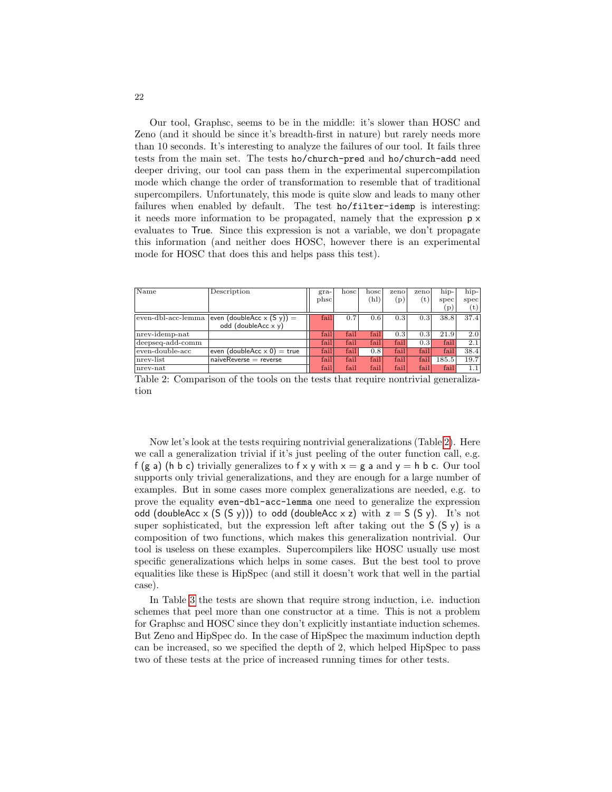Our tool, Graphsc, seems to be in the middle: it's slower than HOSC and Zeno (and it should be since it's breadth-first in nature) but rarely needs more than 10 seconds. It's interesting to analyze the failures of our tool. It fails three tests from the main set. The tests ho/church-pred and ho/church-add need deeper driving, our tool can pass them in the experimental supercompilation mode which change the order of transformation to resemble that of traditional supercompilers. Unfortunately, this mode is quite slow and leads to many other failures when enabled by default. The test ho/filter-idemp is interesting: it needs more information to be propagated, namely that the expression p x evaluates to True. Since this expression is not a variable, we don't propagate this information (and neither does HOSC, however there is an experimental mode for HOSC that does this and helps pass this test).

<span id="page-21-0"></span>

| Name               | Description                        | $gra-$ | hosc | hoscl | zeno | zeno | hip-  | hip-           |
|--------------------|------------------------------------|--------|------|-------|------|------|-------|----------------|
|                    |                                    | phsc   |      | (hl)  | (p)  | (t   | spec  | spec           |
|                    |                                    |        |      |       |      |      | (p)   | $(\mathrm{t})$ |
| even-dbl-acc-lemma | even (doubleAcc $x(Sy)$ ) =        | fail   | 0.7  | 0.6   | 0.3  | 0.3  | 38.8  | 37.4           |
|                    | odd (doubleAcc $x y$ )             |        |      |       |      |      |       |                |
| nrev-idemp-nat     |                                    | fail   | fail | fail  | 0.3  | 0.3  | 21.9  | 2.0            |
| deepseq-add-comm   |                                    | fail   | fail | fail  | fail | 0.3  | fail  | 2.1            |
| even-double-acc    | even (doubleAcc $\times$ 0) = true | fail   | fail | 0.8   | fail | fail | fail  | 38.4           |
| nrev-list          | $naiveReverse = reverse$           | fail   | fail | fail  | fail | fail | 185.5 | 19.7           |
| $_{\rm nrev-nat}$  |                                    | fail   | fail | fail  | fail | fail | fail  | 1.1            |

Table 2: Comparison of the tools on the tests that require nontrivial generalization

Now let's look at the tests requiring nontrivial generalizations (Table [2\)](#page-21-0). Here we call a generalization trivial if it's just peeling of the outer function call, e.g. f (g a) (h b c) trivially generalizes to f x y with  $x = g$  a and  $y = h$  b c. Our tool supports only trivial generalizations, and they are enough for a large number of examples. But in some cases more complex generalizations are needed, e.g. to prove the equality even-dbl-acc-lemma one need to generalize the expression odd (doubleAcc x  $(S (S y))$ ) to odd (doubleAcc x z) with  $z = S (S y)$ . It's not super sophisticated, but the expression left after taking out the  $S(S \gamma)$  is a composition of two functions, which makes this generalization nontrivial. Our tool is useless on these examples. Supercompilers like HOSC usually use most specific generalizations which helps in some cases. But the best tool to prove equalities like these is HipSpec (and still it doesn't work that well in the partial case).

In Table [3](#page-22-1) the tests are shown that require strong induction, i.e. induction schemes that peel more than one constructor at a time. This is not a problem for Graphsc and HOSC since they don't explicitly instantiate induction schemes. But Zeno and HipSpec do. In the case of HipSpec the maximum induction depth can be increased, so we specified the depth of 2, which helped HipSpec to pass two of these tests at the price of increased running times for other tests.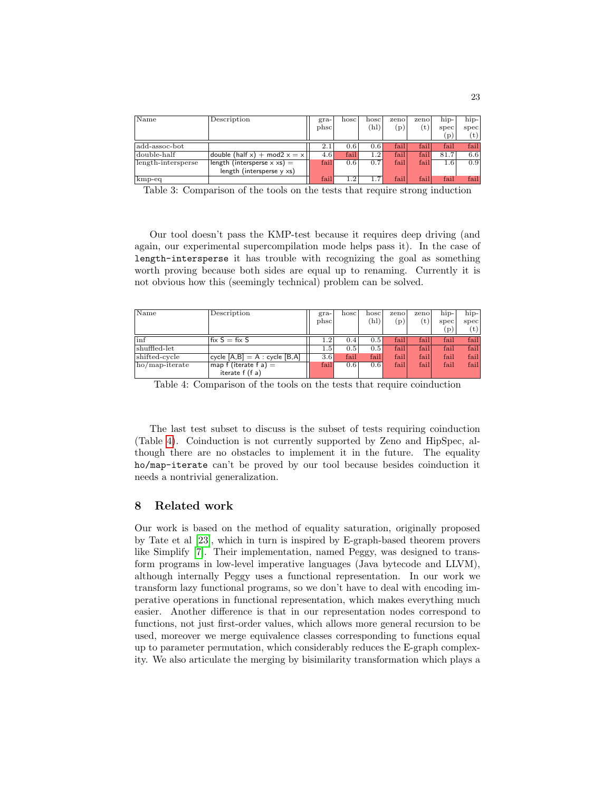<span id="page-22-1"></span>

| Name               | Description                        | $gra-$ | hosc | hoscl           | zeno          | zeno | hip-           | $\hbox{hip-}$    |
|--------------------|------------------------------------|--------|------|-----------------|---------------|------|----------------|------------------|
|                    |                                    | phsc   |      | $^{\prime}$ hl) | $\mathbf{p})$ | (t)  | spec           | spec             |
|                    |                                    |        |      |                 |               |      | $\mathbf{p}$ ) | (t)              |
| add-assoc-bot      |                                    | 2.1    | 0.6  | 0.6             | fail          | fail | fail           | fail             |
| double-half        | double (half $x$ ) + mod2 $x = x$  | 4.6    | fail | $1.2\,$         | fail          | fail | 81.7           | 6.6              |
| length-intersperse | length (intersperse $\times$ xs) = | fail   | 0.6  | 0.7             | fail          | fail | $1.6\,$        | 0.9 <sup>°</sup> |
|                    | length (intersperse $y \times s$ ) |        |      |                 |               |      |                |                  |
| kmp-eq             |                                    | fail   | 1.2  | 1.7             | fail          | fail | fail           | fail             |

Table 3: Comparison of the tools on the tests that require strong induction

Our tool doesn't pass the KMP-test because it requires deep driving (and again, our experimental supercompilation mode helps pass it). In the case of length-intersperse it has trouble with recognizing the goal as something worth proving because both sides are equal up to renaming. Currently it is not obvious how this (seemingly technical) problem can be solved.

<span id="page-22-2"></span>

| $\mathbb{N}$ ame | Description                     | $gra-$  | hosc | hoscl | zeno | zeno | hip- | hip- |
|------------------|---------------------------------|---------|------|-------|------|------|------|------|
|                  |                                 | phsc    |      | (hl)  | (p)  | (t)  | spec | spec |
|                  |                                 |         |      |       |      |      | (p)  | (t)  |
| $\ln f$          | $fix S = fix S$                 | $1.2\,$ | 0.4  | 0.5   | fail | fail | fail | fail |
| shuffled-let     |                                 | $1.5\,$ | 0.5  | 0.5   | fail | fail | fail | fail |
| shifted-cycle    | cycle $[A,B] = A : cycle [B,A]$ | 3.6     | fail | fail  | fail | fail | fail | fail |
| ho/map-iterate   | map f (iterate f a) $=$         | fail    | 0.6  | 0.6   | fail | fail | fail | fail |
|                  | iterate f (f a)                 |         |      |       |      |      |      |      |

Table 4: Comparison of the tools on the tests that require coinduction

The last test subset to discuss is the subset of tests requiring coinduction (Table [4\)](#page-22-2). Coinduction is not currently supported by Zeno and HipSpec, although there are no obstacles to implement it in the future. The equality ho/map-iterate can't be proved by our tool because besides coinduction it needs a nontrivial generalization.

# <span id="page-22-0"></span>8 Related work

Our work is based on the method of equality saturation, originally proposed by Tate et al [\[23\]](#page-27-0), which in turn is inspired by E-graph-based theorem provers like Simplify [\[7\]](#page-26-0). Their implementation, named Peggy, was designed to transform programs in low-level imperative languages (Java bytecode and LLVM), although internally Peggy uses a functional representation. In our work we transform lazy functional programs, so we don't have to deal with encoding imperative operations in functional representation, which makes everything much easier. Another difference is that in our representation nodes correspond to functions, not just first-order values, which allows more general recursion to be used, moreover we merge equivalence classes corresponding to functions equal up to parameter permutation, which considerably reduces the E-graph complexity. We also articulate the merging by bisimilarity transformation which plays a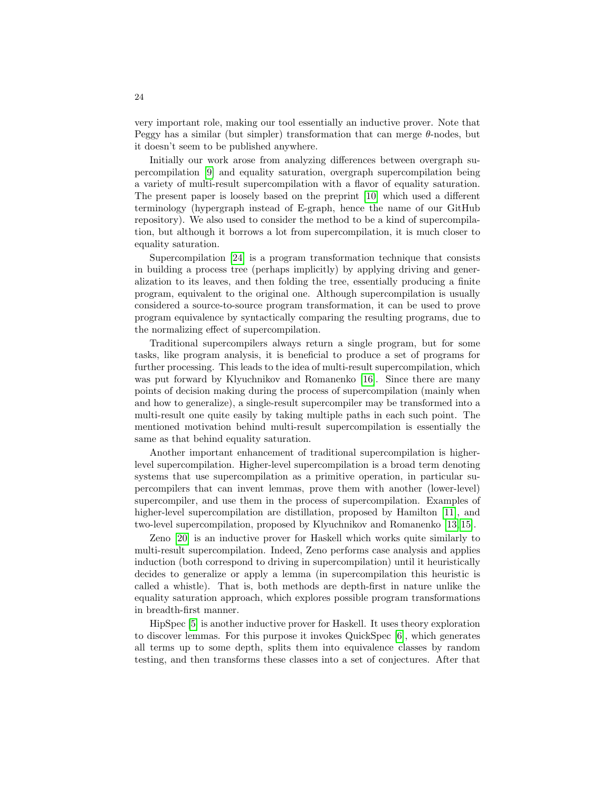very important role, making our tool essentially an inductive prover. Note that Peggy has a similar (but simpler) transformation that can merge  $\theta$ -nodes, but it doesn't seem to be published anywhere.

Initially our work arose from analyzing differences between overgraph supercompilation [\[9\]](#page-26-13) and equality saturation, overgraph supercompilation being a variety of multi-result supercompilation with a flavor of equality saturation. The present paper is loosely based on the preprint [\[10\]](#page-26-14) which used a different terminology (hypergraph instead of E-graph, hence the name of our GitHub repository). We also used to consider the method to be a kind of supercompilation, but although it borrows a lot from supercompilation, it is much closer to equality saturation.

Supercompilation [\[24\]](#page-27-1) is a program transformation technique that consists in building a process tree (perhaps implicitly) by applying driving and generalization to its leaves, and then folding the tree, essentially producing a finite program, equivalent to the original one. Although supercompilation is usually considered a source-to-source program transformation, it can be used to prove program equivalence by syntactically comparing the resulting programs, due to the normalizing effect of supercompilation.

Traditional supercompilers always return a single program, but for some tasks, like program analysis, it is beneficial to produce a set of programs for further processing. This leads to the idea of multi-result supercompilation, which was put forward by Klyuchnikov and Romanenko [\[16\]](#page-26-15). Since there are many points of decision making during the process of supercompilation (mainly when and how to generalize), a single-result supercompiler may be transformed into a multi-result one quite easily by taking multiple paths in each such point. The mentioned motivation behind multi-result supercompilation is essentially the same as that behind equality saturation.

Another important enhancement of traditional supercompilation is higherlevel supercompilation. Higher-level supercompilation is a broad term denoting systems that use supercompilation as a primitive operation, in particular supercompilers that can invent lemmas, prove them with another (lower-level) supercompiler, and use them in the process of supercompilation. Examples of higher-level supercompilation are distillation, proposed by Hamilton [\[11\]](#page-26-16), and two-level supercompilation, proposed by Klyuchnikov and Romanenko [\[13,](#page-26-11) [15\]](#page-26-6).

Zeno [\[20\]](#page-26-4) is an inductive prover for Haskell which works quite similarly to multi-result supercompilation. Indeed, Zeno performs case analysis and applies induction (both correspond to driving in supercompilation) until it heuristically decides to generalize or apply a lemma (in supercompilation this heuristic is called a whistle). That is, both methods are depth-first in nature unlike the equality saturation approach, which explores possible program transformations in breadth-first manner.

HipSpec [\[5\]](#page-25-0) is another inductive prover for Haskell. It uses theory exploration to discover lemmas. For this purpose it invokes QuickSpec [\[6\]](#page-26-12), which generates all terms up to some depth, splits them into equivalence classes by random testing, and then transforms these classes into a set of conjectures. After that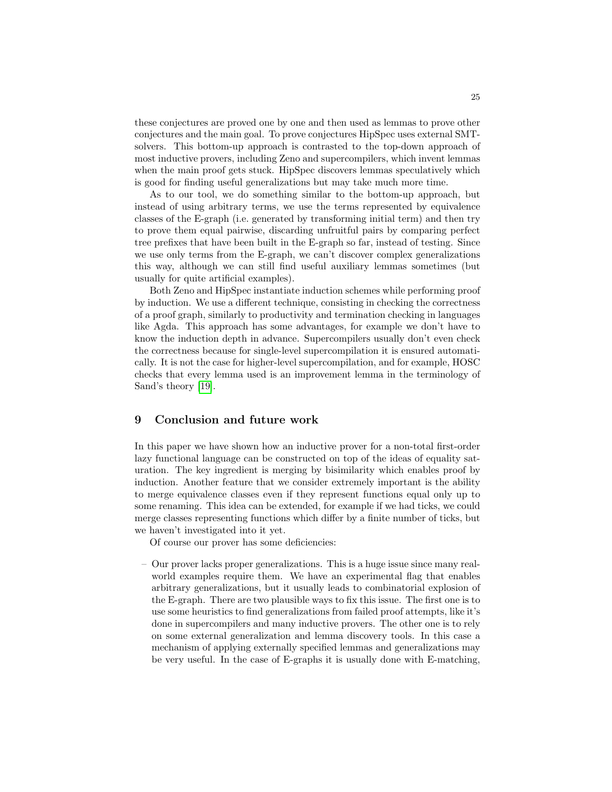these conjectures are proved one by one and then used as lemmas to prove other conjectures and the main goal. To prove conjectures HipSpec uses external SMTsolvers. This bottom-up approach is contrasted to the top-down approach of most inductive provers, including Zeno and supercompilers, which invent lemmas when the main proof gets stuck. HipSpec discovers lemmas speculatively which is good for finding useful generalizations but may take much more time.

As to our tool, we do something similar to the bottom-up approach, but instead of using arbitrary terms, we use the terms represented by equivalence classes of the E-graph (i.e. generated by transforming initial term) and then try to prove them equal pairwise, discarding unfruitful pairs by comparing perfect tree prefixes that have been built in the E-graph so far, instead of testing. Since we use only terms from the E-graph, we can't discover complex generalizations this way, although we can still find useful auxiliary lemmas sometimes (but usually for quite artificial examples).

Both Zeno and HipSpec instantiate induction schemes while performing proof by induction. We use a different technique, consisting in checking the correctness of a proof graph, similarly to productivity and termination checking in languages like Agda. This approach has some advantages, for example we don't have to know the induction depth in advance. Supercompilers usually don't even check the correctness because for single-level supercompilation it is ensured automatically. It is not the case for higher-level supercompilation, and for example, HOSC checks that every lemma used is an improvement lemma in the terminology of Sand's theory [\[19\]](#page-26-5).

# <span id="page-24-0"></span>9 Conclusion and future work

In this paper we have shown how an inductive prover for a non-total first-order lazy functional language can be constructed on top of the ideas of equality saturation. The key ingredient is merging by bisimilarity which enables proof by induction. Another feature that we consider extremely important is the ability to merge equivalence classes even if they represent functions equal only up to some renaming. This idea can be extended, for example if we had ticks, we could merge classes representing functions which differ by a finite number of ticks, but we haven't investigated into it yet.

Of course our prover has some deficiencies:

– Our prover lacks proper generalizations. This is a huge issue since many realworld examples require them. We have an experimental flag that enables arbitrary generalizations, but it usually leads to combinatorial explosion of the E-graph. There are two plausible ways to fix this issue. The first one is to use some heuristics to find generalizations from failed proof attempts, like it's done in supercompilers and many inductive provers. The other one is to rely on some external generalization and lemma discovery tools. In this case a mechanism of applying externally specified lemmas and generalizations may be very useful. In the case of E-graphs it is usually done with E-matching,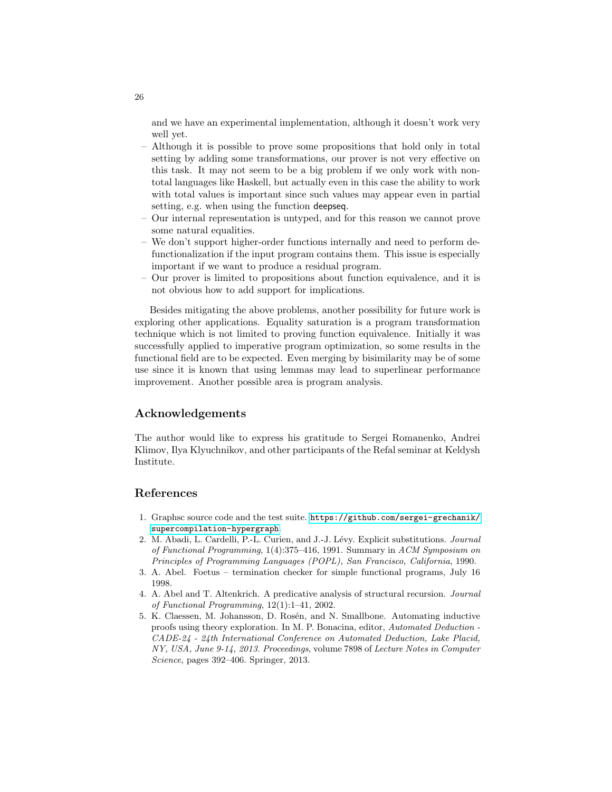and we have an experimental implementation, although it doesn't work very well yet.

- Although it is possible to prove some propositions that hold only in total setting by adding some transformations, our prover is not very effective on this task. It may not seem to be a big problem if we only work with nontotal languages like Haskell, but actually even in this case the ability to work with total values is important since such values may appear even in partial setting, e.g. when using the function deepseq.
- Our internal representation is untyped, and for this reason we cannot prove some natural equalities.
- We don't support higher-order functions internally and need to perform defunctionalization if the input program contains them. This issue is especially important if we want to produce a residual program.
- Our prover is limited to propositions about function equivalence, and it is not obvious how to add support for implications.

Besides mitigating the above problems, another possibility for future work is exploring other applications. Equality saturation is a program transformation technique which is not limited to proving function equivalence. Initially it was successfully applied to imperative program optimization, so some results in the functional field are to be expected. Even merging by bisimilarity may be of some use since it is known that using lemmas may lead to superlinear performance improvement. Another possible area is program analysis.

# Acknowledgements

The author would like to express his gratitude to Sergei Romanenko, Andrei Klimov, Ilya Klyuchnikov, and other participants of the Refal seminar at Keldysh Institute.

### References

- <span id="page-25-3"></span>1. Graphsc source code and the test suite. [https://github.com/sergei-grechanik/](https://github.com/sergei-grechanik/supercompilation-hypergraph) [supercompilation-hypergraph](https://github.com/sergei-grechanik/supercompilation-hypergraph).
- <span id="page-25-4"></span>2. M. Abadi, L. Cardelli, P.-L. Curien, and J.-J. Lévy. Explicit substitutions. Journal of Functional Programming, 1(4):375–416, 1991. Summary in ACM Symposium on Principles of Programming Languages (POPL), San Francisco, California, 1990.
- <span id="page-25-1"></span>3. A. Abel. Foetus – termination checker for simple functional programs, July 16 1998.
- <span id="page-25-2"></span>4. A. Abel and T. Altenkrich. A predicative analysis of structural recursion. Journal of Functional Programming, 12(1):1–41, 2002.
- <span id="page-25-0"></span>5. K. Claessen, M. Johansson, D. Rosén, and N. Smallbone. Automating inductive proofs using theory exploration. In M. P. Bonacina, editor, Automated Deduction - CADE-24 - 24th International Conference on Automated Deduction, Lake Placid, NY, USA, June 9-14, 2013. Proceedings, volume 7898 of Lecture Notes in Computer Science, pages 392–406. Springer, 2013.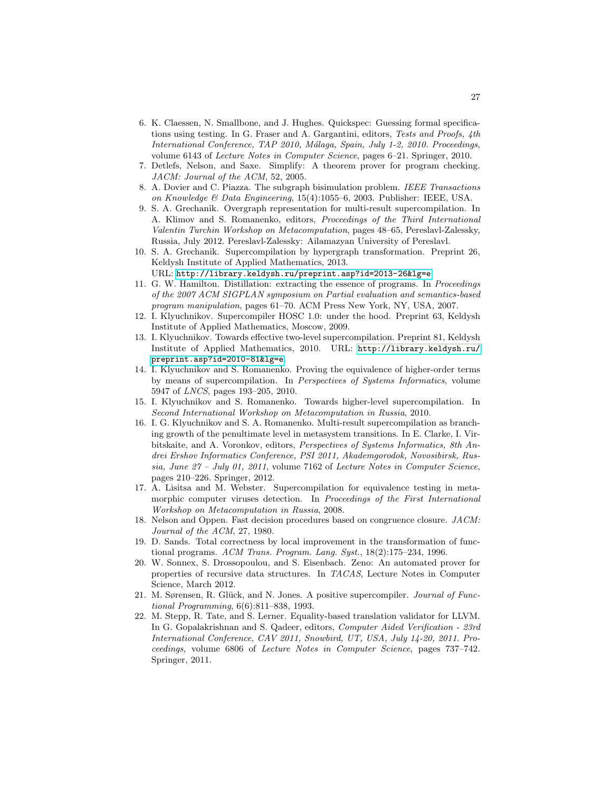- <span id="page-26-12"></span>6. K. Claessen, N. Smallbone, and J. Hughes. Quickspec: Guessing formal specifications using testing. In G. Fraser and A. Gargantini, editors, Tests and Proofs, 4th International Conference, TAP 2010, Málaga, Spain, July 1-2, 2010. Proceedings, volume 6143 of Lecture Notes in Computer Science, pages 6–21. Springer, 2010.
- <span id="page-26-0"></span>7. Detlefs, Nelson, and Saxe. Simplify: A theorem prover for program checking. JACM: Journal of the ACM, 52, 2005.
- <span id="page-26-7"></span>8. A. Dovier and C. Piazza. The subgraph bisimulation problem. IEEE Transactions on Knowledge & Data Engineering, 15(4):1055–6, 2003. Publisher: IEEE, USA.
- <span id="page-26-13"></span>9. S. A. Grechanik. Overgraph representation for multi-result supercompilation. In A. Klimov and S. Romanenko, editors, Proceedings of the Third International Valentin Turchin Workshop on Metacomputation, pages 48–65, Pereslavl-Zalessky, Russia, July 2012. Pereslavl-Zalessky: Ailamazyan University of Pereslavl.
- <span id="page-26-14"></span>10. S. A. Grechanik. Supercompilation by hypergraph transformation. Preprint 26, Keldysh Institute of Applied Mathematics, 2013.

URL: <http://library.keldysh.ru/preprint.asp?id=2013-26&lg=e>.

- <span id="page-26-16"></span>11. G. W. Hamilton. Distillation: extracting the essence of programs. In Proceedings of the 2007 ACM SIGPLAN symposium on Partial evaluation and semantics-based program manipulation, pages 61–70. ACM Press New York, NY, USA, 2007.
- <span id="page-26-8"></span>12. I. Klyuchnikov. Supercompiler HOSC 1.0: under the hood. Preprint 63, Keldysh Institute of Applied Mathematics, Moscow, 2009.
- <span id="page-26-11"></span>13. I. Klyuchnikov. Towards effective two-level supercompilation. Preprint 81, Keldysh Institute of Applied Mathematics, 2010. URL: [http://library.keldysh.ru/](http://library.keldysh.ru/preprint.asp?id=2010-81&lg=e) [preprint.asp?id=2010-81&lg=e](http://library.keldysh.ru/preprint.asp?id=2010-81&lg=e).
- <span id="page-26-9"></span>14. I. Klyuchnikov and S. Romanenko. Proving the equivalence of higher-order terms by means of supercompilation. In Perspectives of Systems Informatics, volume 5947 of LNCS, pages 193–205, 2010.
- <span id="page-26-6"></span>15. I. Klyuchnikov and S. Romanenko. Towards higher-level supercompilation. In Second International Workshop on Metacomputation in Russia, 2010.
- <span id="page-26-15"></span>16. I. G. Klyuchnikov and S. A. Romanenko. Multi-result supercompilation as branching growth of the penultimate level in metasystem transitions. In E. Clarke, I. Virbitskaite, and A. Voronkov, editors, Perspectives of Systems Informatics, 8th Andrei Ershov Informatics Conference, PSI 2011, Akademgorodok, Novosibirsk, Russia, June  $27$  – July 01, 2011, volume 7162 of Lecture Notes in Computer Science, pages 210–226. Springer, 2012.
- <span id="page-26-10"></span>17. A. Lisitsa and M. Webster. Supercompilation for equivalence testing in metamorphic computer viruses detection. In Proceedings of the First International Workshop on Metacomputation in Russia, 2008.
- <span id="page-26-1"></span>18. Nelson and Oppen. Fast decision procedures based on congruence closure. JACM: Journal of the ACM, 27, 1980.
- <span id="page-26-5"></span>19. D. Sands. Total correctness by local improvement in the transformation of functional programs. ACM Trans. Program. Lang. Syst.,  $18(2)$ :175–234, 1996.
- <span id="page-26-4"></span>20. W. Sonnex, S. Drossopoulou, and S. Eisenbach. Zeno: An automated prover for properties of recursive data structures. In TACAS, Lecture Notes in Computer Science, March 2012.
- <span id="page-26-3"></span>21. M. Sørensen, R. Glück, and N. Jones. A positive supercompiler. Journal of Functional Programming, 6(6):811–838, 1993.
- <span id="page-26-2"></span>22. M. Stepp, R. Tate, and S. Lerner. Equality-based translation validator for LLVM. In G. Gopalakrishnan and S. Qadeer, editors, Computer Aided Verification - 23rd International Conference, CAV 2011, Snowbird, UT, USA, July 14-20, 2011. Proceedings, volume 6806 of Lecture Notes in Computer Science, pages 737–742. Springer, 2011.